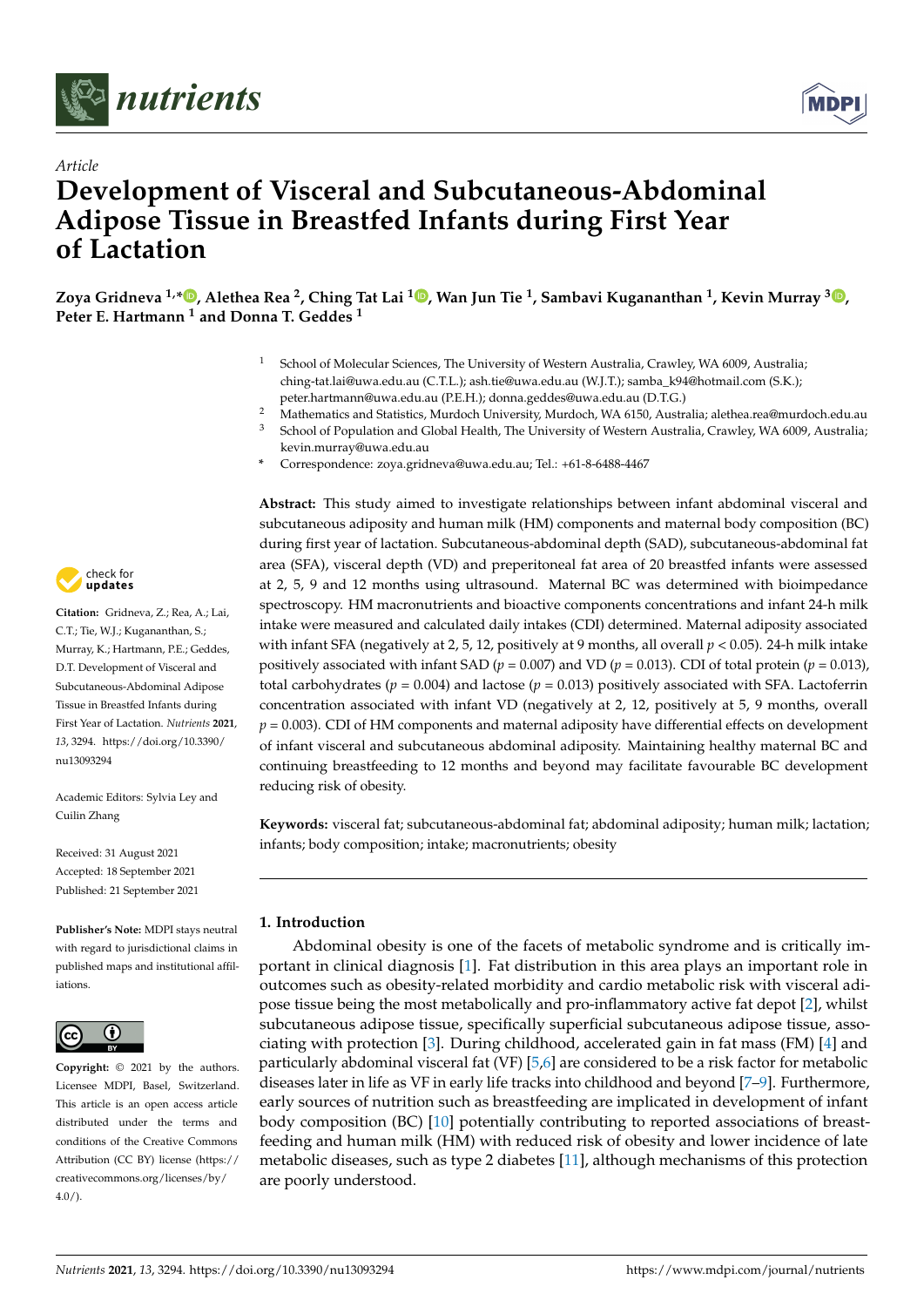



# *Article* **Development of Visceral and Subcutaneous-Abdominal Adipose Tissue in Breastfed Infants during First Year of Lactation**

**Zoya Gridneva 1,\* [,](https://orcid.org/0000-0001-6841-2958) Alethea Rea <sup>2</sup> , Ching Tat Lai <sup>1</sup> [,](https://orcid.org/0000-0002-9025-4922) Wan Jun Tie <sup>1</sup> , Sambavi Kugananthan <sup>1</sup> , Kevin Murray <sup>3</sup> [,](https://orcid.org/0000-0002-8856-6046) Peter E. Hartmann <sup>1</sup> and Donna T. Geddes <sup>1</sup>**

- <sup>1</sup> School of Molecular Sciences, The University of Western Australia, Crawley, WA 6009, Australia; ching-tat.lai@uwa.edu.au (C.T.L.); ash.tie@uwa.edu.au (W.J.T.); samba\_k94@hotmail.com (S.K.); peter.hartmann@uwa.edu.au (P.E.H.); donna.geddes@uwa.edu.au (D.T.G.)
- <sup>2</sup> Mathematics and Statistics, Murdoch University, Murdoch, WA 6150, Australia; alethea.rea@murdoch.edu.au
- School of Population and Global Health, The University of Western Australia, Crawley, WA 6009, Australia; kevin.murray@uwa.edu.au
- **\*** Correspondence: zoya.gridneva@uwa.edu.au; Tel.: +61-8-6488-4467

check for **-**

**Citation:** Gridneva, Z.; Rea, A.; Lai, C.T.; Tie, W.J.; Kugananthan, S.; Murray, K.; Hartmann, P.E.; Geddes, D.T. Development of Visceral and Subcutaneous-Abdominal Adipose Tissue in Breastfed Infants during First Year of Lactation. *Nutrients* **2021**, *13*, 3294. [https://doi.org/10.3390/](https://doi.org/10.3390/nu13093294) [nu13093294](https://doi.org/10.3390/nu13093294)

Academic Editors: Sylvia Ley and Cuilin Zhang

Received: 31 August 2021 Accepted: 18 September 2021 Published: 21 September 2021

**Publisher's Note:** MDPI stays neutral with regard to jurisdictional claims in published maps and institutional affiliations.



**Copyright:** © 2021 by the authors. Licensee MDPI, Basel, Switzerland. This article is an open access article distributed under the terms and conditions of the Creative Commons Attribution (CC BY) license (https:/[/](https://creativecommons.org/licenses/by/4.0/) [creativecommons.org/licenses/by/](https://creativecommons.org/licenses/by/4.0/)  $4.0/$ ).

**Abstract:** This study aimed to investigate relationships between infant abdominal visceral and subcutaneous adiposity and human milk (HM) components and maternal body composition (BC) during first year of lactation. Subcutaneous-abdominal depth (SAD), subcutaneous-abdominal fat area (SFA), visceral depth (VD) and preperitoneal fat area of 20 breastfed infants were assessed at 2, 5, 9 and 12 months using ultrasound. Maternal BC was determined with bioimpedance spectroscopy. HM macronutrients and bioactive components concentrations and infant 24-h milk intake were measured and calculated daily intakes (CDI) determined. Maternal adiposity associated with infant SFA (negatively at 2, 5, 12, positively at 9 months, all overall *p* < 0.05). 24-h milk intake positively associated with infant SAD ( $p = 0.007$ ) and VD ( $p = 0.013$ ). CDI of total protein ( $p = 0.013$ ), total carbohydrates ( $p = 0.004$ ) and lactose ( $p = 0.013$ ) positively associated with SFA. Lactoferrin concentration associated with infant VD (negatively at 2, 12, positively at 5, 9 months, overall  $p = 0.003$ ). CDI of HM components and maternal adiposity have differential effects on development of infant visceral and subcutaneous abdominal adiposity. Maintaining healthy maternal BC and continuing breastfeeding to 12 months and beyond may facilitate favourable BC development reducing risk of obesity.

**Keywords:** visceral fat; subcutaneous-abdominal fat; abdominal adiposity; human milk; lactation; infants; body composition; intake; macronutrients; obesity

# **1. Introduction**

Abdominal obesity is one of the facets of metabolic syndrome and is critically important in clinical diagnosis [\[1\]](#page-15-0). Fat distribution in this area plays an important role in outcomes such as obesity-related morbidity and cardio metabolic risk with visceral adipose tissue being the most metabolically and pro-inflammatory active fat depot [\[2\]](#page-15-1), whilst subcutaneous adipose tissue, specifically superficial subcutaneous adipose tissue, associating with protection [\[3\]](#page-15-2). During childhood, accelerated gain in fat mass (FM) [\[4\]](#page-15-3) and particularly abdominal visceral fat (VF) [\[5,](#page-15-4)[6\]](#page-15-5) are considered to be a risk factor for metabolic diseases later in life as VF in early life tracks into childhood and beyond [\[7–](#page-15-6)[9\]](#page-15-7). Furthermore, early sources of nutrition such as breastfeeding are implicated in development of infant body composition (BC) [\[10\]](#page-15-8) potentially contributing to reported associations of breastfeeding and human milk (HM) with reduced risk of obesity and lower incidence of late metabolic diseases, such as type 2 diabetes [\[11\]](#page-15-9), although mechanisms of this protection are poorly understood.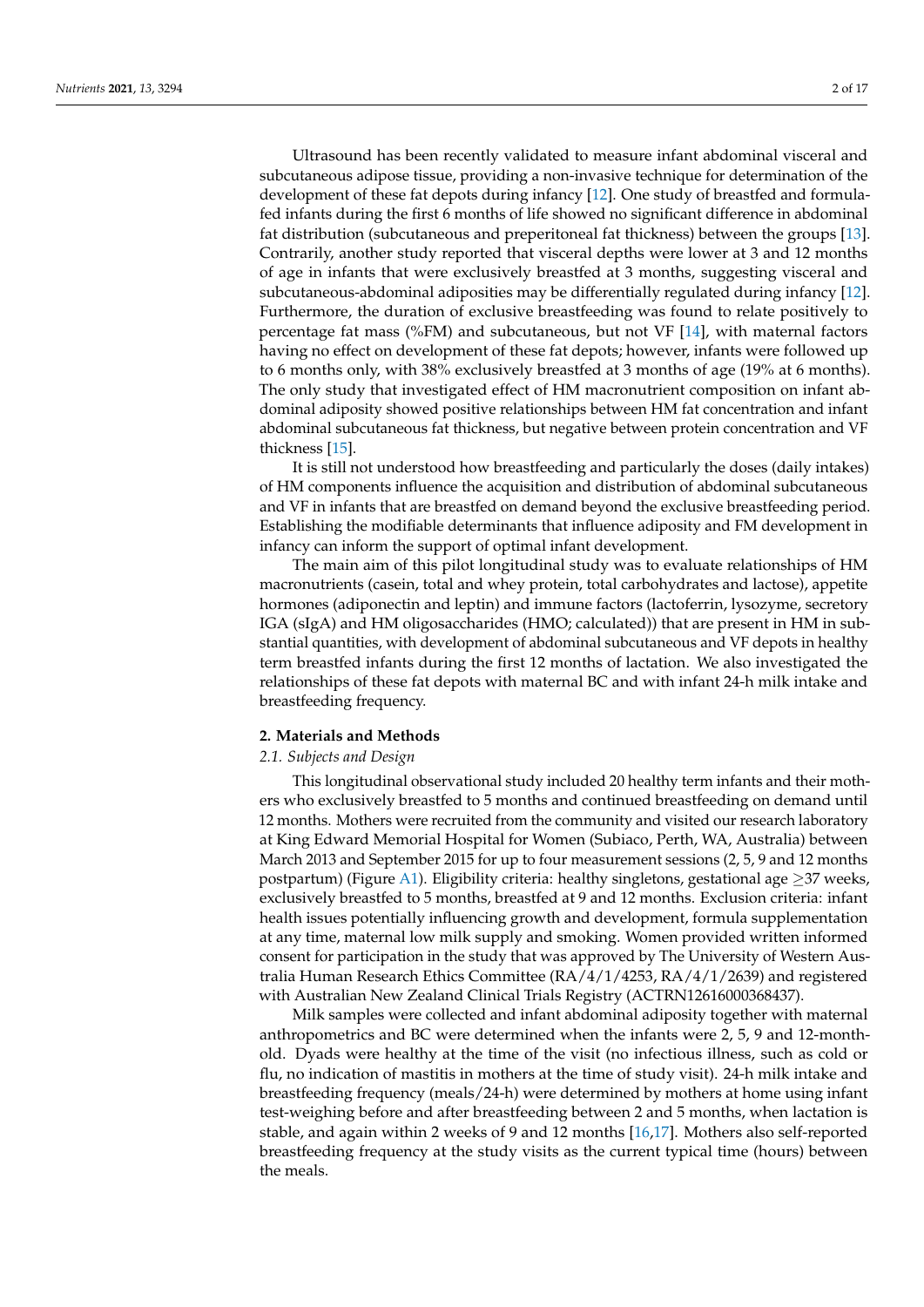Ultrasound has been recently validated to measure infant abdominal visceral and subcutaneous adipose tissue, providing a non-invasive technique for determination of the development of these fat depots during infancy [\[12\]](#page-15-10). One study of breastfed and formulafed infants during the first 6 months of life showed no significant difference in abdominal fat distribution (subcutaneous and preperitoneal fat thickness) between the groups [\[13\]](#page-15-11). Contrarily, another study reported that visceral depths were lower at 3 and 12 months of age in infants that were exclusively breastfed at 3 months, suggesting visceral and subcutaneous-abdominal adiposities may be differentially regulated during infancy [\[12\]](#page-15-10). Furthermore, the duration of exclusive breastfeeding was found to relate positively to percentage fat mass (%FM) and subcutaneous, but not VF [\[14\]](#page-15-12), with maternal factors having no effect on development of these fat depots; however, infants were followed up to 6 months only, with 38% exclusively breastfed at 3 months of age (19% at 6 months). The only study that investigated effect of HM macronutrient composition on infant abdominal adiposity showed positive relationships between HM fat concentration and infant abdominal subcutaneous fat thickness, but negative between protein concentration and VF thickness [\[15\]](#page-15-13).

It is still not understood how breastfeeding and particularly the doses (daily intakes) of HM components influence the acquisition and distribution of abdominal subcutaneous and VF in infants that are breastfed on demand beyond the exclusive breastfeeding period. Establishing the modifiable determinants that influence adiposity and FM development in infancy can inform the support of optimal infant development.

The main aim of this pilot longitudinal study was to evaluate relationships of HM macronutrients (casein, total and whey protein, total carbohydrates and lactose), appetite hormones (adiponectin and leptin) and immune factors (lactoferrin, lysozyme, secretory IGA (sIgA) and HM oligosaccharides (HMO; calculated)) that are present in HM in substantial quantities, with development of abdominal subcutaneous and VF depots in healthy term breastfed infants during the first 12 months of lactation. We also investigated the relationships of these fat depots with maternal BC and with infant 24-h milk intake and breastfeeding frequency.

# **2. Materials and Methods**

# *2.1. Subjects and Design*

This longitudinal observational study included 20 healthy term infants and their mothers who exclusively breastfed to 5 months and continued breastfeeding on demand until 12 months. Mothers were recruited from the community and visited our research laboratory at King Edward Memorial Hospital for Women (Subiaco, Perth, WA, Australia) between March 2013 and September 2015 for up to four measurement sessions (2, 5, 9 and 12 months postpartum) (Figure [A1\)](#page-14-0). Eligibility criteria: healthy singletons, gestational age  $>$ 37 weeks, exclusively breastfed to 5 months, breastfed at 9 and 12 months. Exclusion criteria: infant health issues potentially influencing growth and development, formula supplementation at any time, maternal low milk supply and smoking. Women provided written informed consent for participation in the study that was approved by The University of Western Australia Human Research Ethics Committee (RA/4/1/4253, RA/4/1/2639) and registered with Australian New Zealand Clinical Trials Registry (ACTRN12616000368437).

Milk samples were collected and infant abdominal adiposity together with maternal anthropometrics and BC were determined when the infants were 2, 5, 9 and 12-monthold. Dyads were healthy at the time of the visit (no infectious illness, such as cold or flu, no indication of mastitis in mothers at the time of study visit). 24-h milk intake and breastfeeding frequency (meals/24-h) were determined by mothers at home using infant test-weighing before and after breastfeeding between 2 and 5 months, when lactation is stable, and again within 2 weeks of 9 and 12 months [\[16](#page-15-14)[,17\]](#page-15-15). Mothers also self-reported breastfeeding frequency at the study visits as the current typical time (hours) between the meals.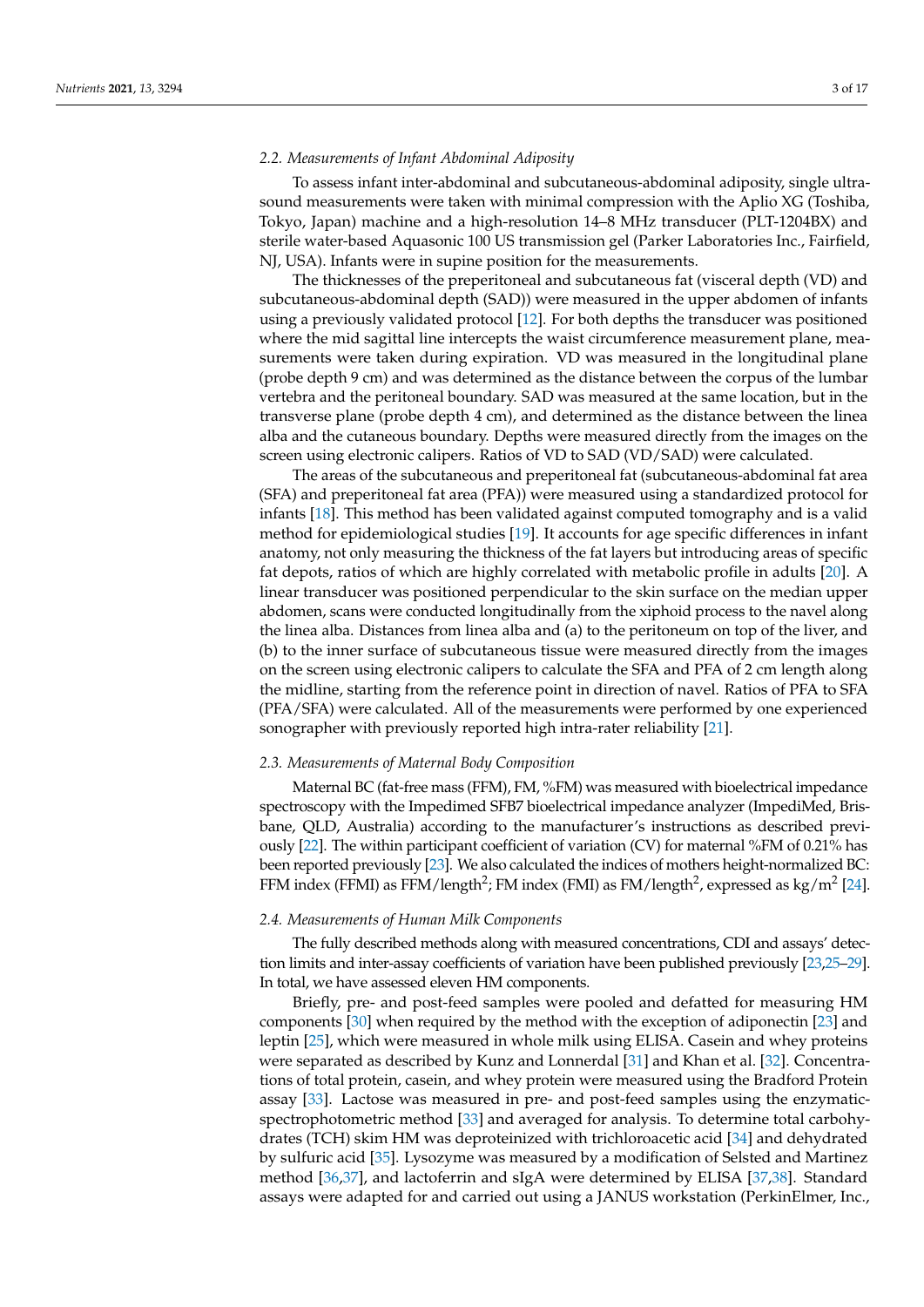# *2.2. Measurements of Infant Abdominal Adiposity*

To assess infant inter-abdominal and subcutaneous-abdominal adiposity, single ultrasound measurements were taken with minimal compression with the Aplio XG (Toshiba, Tokyo, Japan) machine and a high-resolution 14–8 MHz transducer (PLT-1204BX) and sterile water-based Aquasonic 100 US transmission gel (Parker Laboratories Inc., Fairfield, NJ, USA). Infants were in supine position for the measurements.

The thicknesses of the preperitoneal and subcutaneous fat (visceral depth (VD) and subcutaneous-abdominal depth (SAD)) were measured in the upper abdomen of infants using a previously validated protocol [\[12\]](#page-15-10). For both depths the transducer was positioned where the mid sagittal line intercepts the waist circumference measurement plane, measurements were taken during expiration. VD was measured in the longitudinal plane (probe depth 9 cm) and was determined as the distance between the corpus of the lumbar vertebra and the peritoneal boundary. SAD was measured at the same location, but in the transverse plane (probe depth 4 cm), and determined as the distance between the linea alba and the cutaneous boundary. Depths were measured directly from the images on the screen using electronic calipers. Ratios of VD to SAD (VD/SAD) were calculated.

The areas of the subcutaneous and preperitoneal fat (subcutaneous-abdominal fat area (SFA) and preperitoneal fat area (PFA)) were measured using a standardized protocol for infants [\[18\]](#page-15-16). This method has been validated against computed tomography and is a valid method for epidemiological studies [\[19\]](#page-15-17). It accounts for age specific differences in infant anatomy, not only measuring the thickness of the fat layers but introducing areas of specific fat depots, ratios of which are highly correlated with metabolic profile in adults [\[20\]](#page-15-18). A linear transducer was positioned perpendicular to the skin surface on the median upper abdomen, scans were conducted longitudinally from the xiphoid process to the navel along the linea alba. Distances from linea alba and (a) to the peritoneum on top of the liver, and (b) to the inner surface of subcutaneous tissue were measured directly from the images on the screen using electronic calipers to calculate the SFA and PFA of 2 cm length along the midline, starting from the reference point in direction of navel. Ratios of PFA to SFA (PFA/SFA) were calculated. All of the measurements were performed by one experienced sonographer with previously reported high intra-rater reliability [\[21\]](#page-15-19).

## *2.3. Measurements of Maternal Body Composition*

Maternal BC (fat-free mass (FFM), FM, %FM) was measured with bioelectrical impedance spectroscopy with the Impedimed SFB7 bioelectrical impedance analyzer (ImpediMed, Brisbane, QLD, Australia) according to the manufacturer's instructions as described previously [\[22\]](#page-15-20). The within participant coefficient of variation (CV) for maternal %FM of 0.21% has been reported previously [\[23\]](#page-15-21). We also calculated the indices of mothers height-normalized BC: FFM index (FFMI) as FFM/length<sup>2</sup>; FM index (FMI) as FM/length<sup>2</sup>, expressed as kg/m<sup>2</sup> [\[24\]](#page-15-22).

#### *2.4. Measurements of Human Milk Components*

The fully described methods along with measured concentrations, CDI and assays' detection limits and inter-assay coefficients of variation have been published previously [\[23,](#page-15-21)[25](#page-15-23)[–29\]](#page-16-0). In total, we have assessed eleven HM components.

Briefly, pre- and post-feed samples were pooled and defatted for measuring HM components [\[30\]](#page-16-1) when required by the method with the exception of adiponectin [\[23\]](#page-15-21) and leptin [\[25\]](#page-15-23), which were measured in whole milk using ELISA. Casein and whey proteins were separated as described by Kunz and Lonnerdal [\[31\]](#page-16-2) and Khan et al. [\[32\]](#page-16-3). Concentrations of total protein, casein, and whey protein were measured using the Bradford Protein assay [\[33\]](#page-16-4). Lactose was measured in pre- and post-feed samples using the enzymaticspectrophotometric method [\[33\]](#page-16-4) and averaged for analysis. To determine total carbohydrates (TCH) skim HM was deproteinized with trichloroacetic acid [\[34\]](#page-16-5) and dehydrated by sulfuric acid [\[35\]](#page-16-6). Lysozyme was measured by a modification of Selsted and Martinez method [\[36,](#page-16-7)[37\]](#page-16-8), and lactoferrin and sIgA were determined by ELISA [\[37,](#page-16-8)[38\]](#page-16-9). Standard assays were adapted for and carried out using a JANUS workstation (PerkinElmer, Inc.,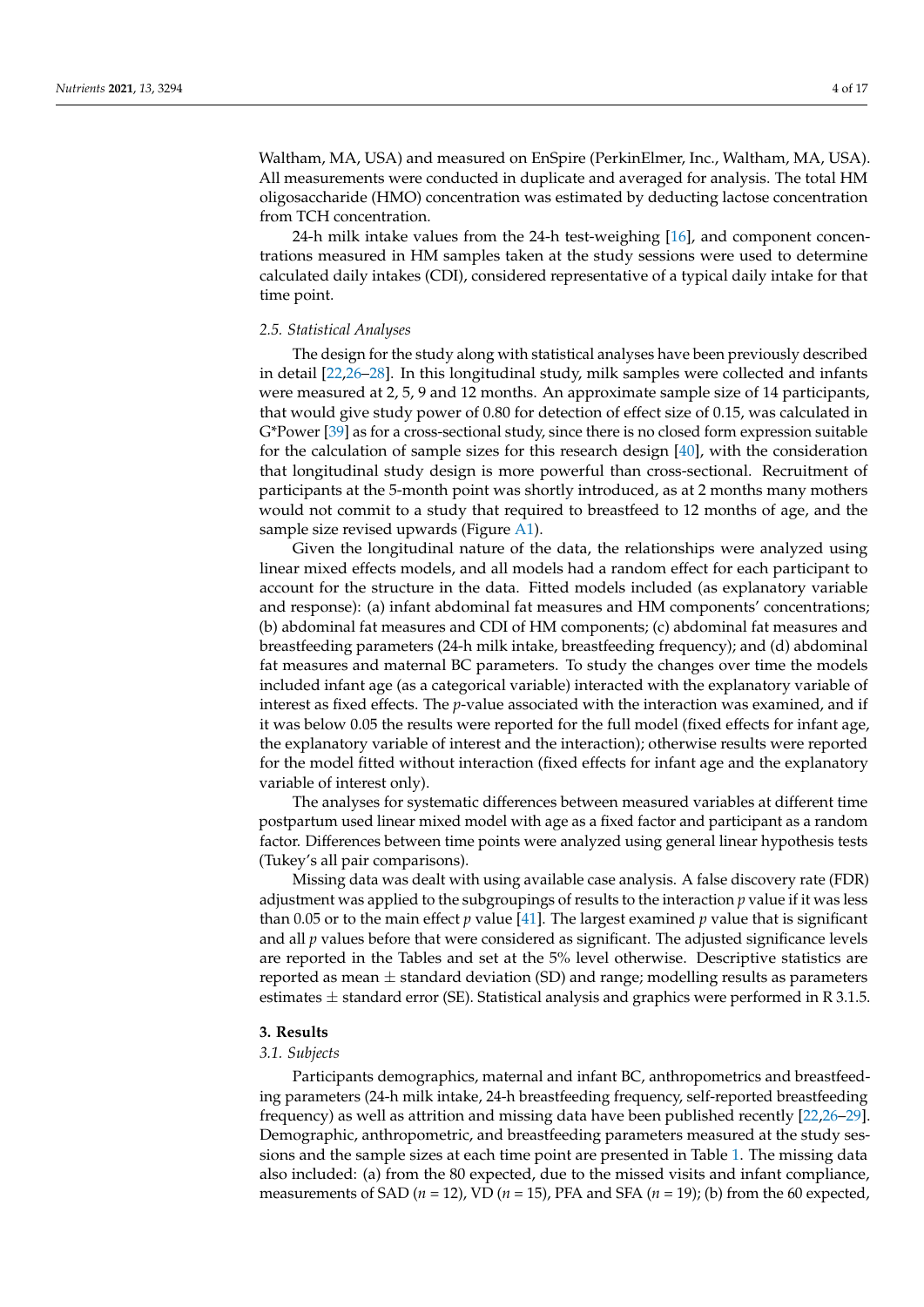Waltham, MA, USA) and measured on EnSpire (PerkinElmer, Inc., Waltham, MA, USA). All measurements were conducted in duplicate and averaged for analysis. The total HM oligosaccharide (HMO) concentration was estimated by deducting lactose concentration from TCH concentration.

24-h milk intake values from the 24-h test-weighing [\[16\]](#page-15-14), and component concentrations measured in HM samples taken at the study sessions were used to determine calculated daily intakes (CDI), considered representative of a typical daily intake for that time point.

#### *2.5. Statistical Analyses*

The design for the study along with statistical analyses have been previously described in detail [\[22,](#page-15-20)[26](#page-15-24)[–28\]](#page-16-10). In this longitudinal study, milk samples were collected and infants were measured at 2, 5, 9 and 12 months. An approximate sample size of 14 participants, that would give study power of 0.80 for detection of effect size of 0.15, was calculated in G\*Power [\[39\]](#page-16-11) as for a cross-sectional study, since there is no closed form expression suitable for the calculation of sample sizes for this research design [\[40\]](#page-16-12), with the consideration that longitudinal study design is more powerful than cross-sectional. Recruitment of participants at the 5-month point was shortly introduced, as at 2 months many mothers would not commit to a study that required to breastfeed to 12 months of age, and the sample size revised upwards (Figure [A1\)](#page-14-0).

Given the longitudinal nature of the data, the relationships were analyzed using linear mixed effects models, and all models had a random effect for each participant to account for the structure in the data. Fitted models included (as explanatory variable and response): (a) infant abdominal fat measures and HM components' concentrations; (b) abdominal fat measures and CDI of HM components; (c) abdominal fat measures and breastfeeding parameters (24-h milk intake, breastfeeding frequency); and (d) abdominal fat measures and maternal BC parameters. To study the changes over time the models included infant age (as a categorical variable) interacted with the explanatory variable of interest as fixed effects. The *p*-value associated with the interaction was examined, and if it was below 0.05 the results were reported for the full model (fixed effects for infant age, the explanatory variable of interest and the interaction); otherwise results were reported for the model fitted without interaction (fixed effects for infant age and the explanatory variable of interest only).

The analyses for systematic differences between measured variables at different time postpartum used linear mixed model with age as a fixed factor and participant as a random factor. Differences between time points were analyzed using general linear hypothesis tests (Tukey's all pair comparisons).

Missing data was dealt with using available case analysis. A false discovery rate (FDR) adjustment was applied to the subgroupings of results to the interaction *p* value if it was less than 0.05 or to the main effect *p* value [\[41\]](#page-16-13). The largest examined *p* value that is significant and all *p* values before that were considered as significant. The adjusted significance levels are reported in the Tables and set at the 5% level otherwise. Descriptive statistics are reported as mean  $\pm$  standard deviation (SD) and range; modelling results as parameters estimates  $\pm$  standard error (SE). Statistical analysis and graphics were performed in R 3.1.5.

#### **3. Results**

#### *3.1. Subjects*

Participants demographics, maternal and infant BC, anthropometrics and breastfeeding parameters (24-h milk intake, 24-h breastfeeding frequency, self-reported breastfeeding frequency) as well as attrition and missing data have been published recently [\[22,](#page-15-20)[26](#page-15-24)[–29\]](#page-16-0). Demographic, anthropometric, and breastfeeding parameters measured at the study sessions and the sample sizes at each time point are presented in Table [1.](#page-4-0) The missing data also included: (a) from the 80 expected, due to the missed visits and infant compliance, measurements of SAD ( $n = 12$ ), VD ( $n = 15$ ), PFA and SFA ( $n = 19$ ); (b) from the 60 expected,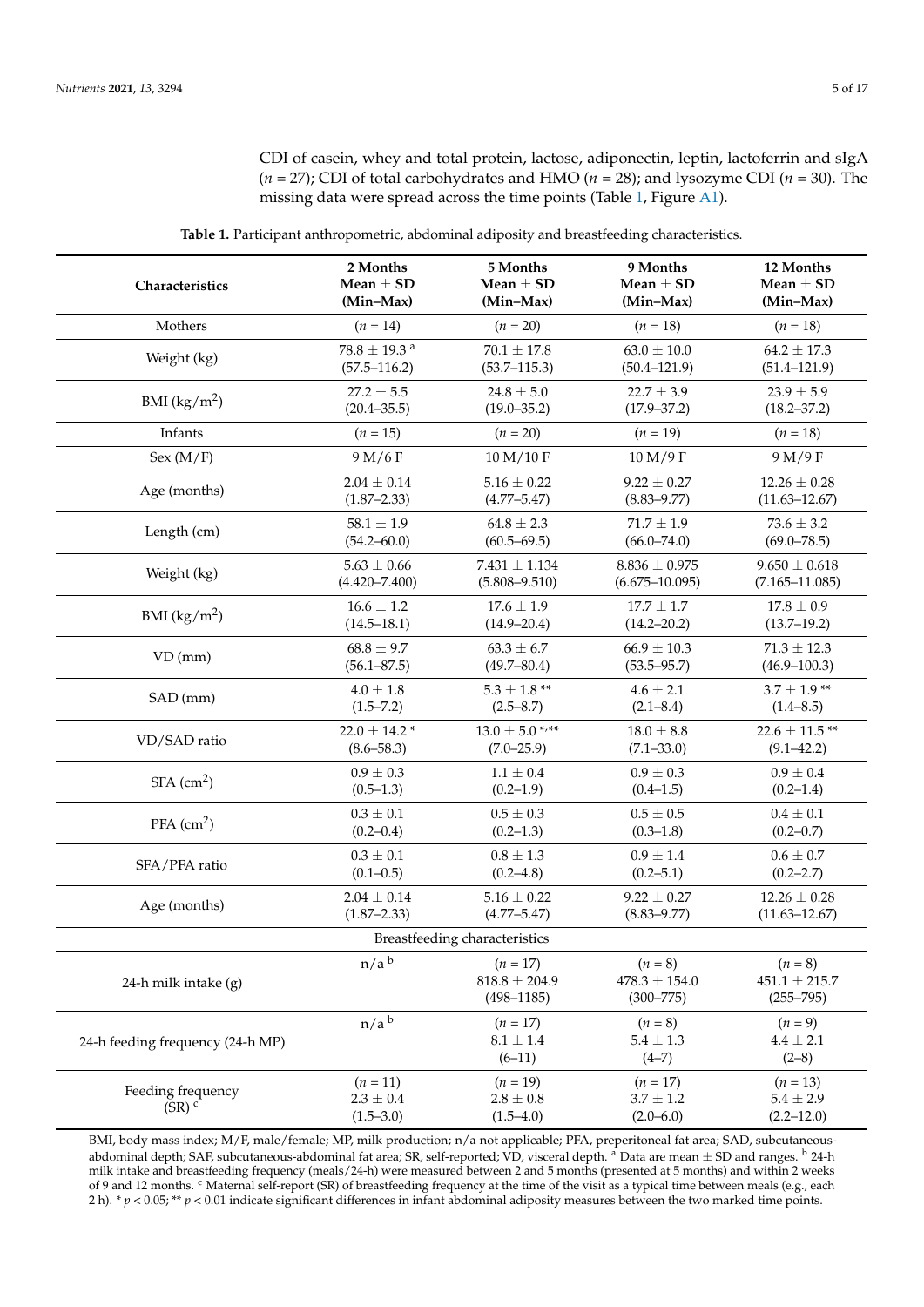CDI of casein, whey and total protein, lactose, adiponectin, leptin, lactoferrin and sIgA (*n* = 27); CDI of total carbohydrates and HMO (*n* = 28); and lysozyme CDI (*n* = 30). The missing data were spread across the time points (Table [1,](#page-4-0) Figure [A1\)](#page-14-0).

<span id="page-4-0"></span>

| Characteristics                          | 2 Months                                   | 5 Months                                          | 9 Months                                        | 12 Months                                       |
|------------------------------------------|--------------------------------------------|---------------------------------------------------|-------------------------------------------------|-------------------------------------------------|
|                                          | Mean $\pm$ SD                              | Mean $\pm$ SD                                     | Mean $\pm$ SD                                   | Mean $\pm$ SD                                   |
|                                          | (Min-Max)                                  | (Min-Max)                                         | (Min-Max)                                       | (Min-Max)                                       |
| Mothers                                  | $(n = 14)$                                 | $(n = 20)$                                        | $(n = 18)$                                      | $(n = 18)$                                      |
| Weight (kg)                              | $78.8 \pm 19.3$ <sup>a</sup>               | $70.1 \pm 17.8$                                   | $63.0 \pm 10.0$                                 | $64.2 \pm 17.3$                                 |
|                                          | $(57.5 - 116.2)$                           | $(53.7 - 115.3)$                                  | $(50.4 - 121.9)$                                | $(51.4 - 121.9)$                                |
| BMI $(kg/m^2)$                           | $27.2 \pm 5.5$                             | $24.8 \pm 5.0$                                    | $22.7 \pm 3.9$                                  | $23.9 \pm 5.9$                                  |
|                                          | $(20.4 - 35.5)$                            | $(19.0 - 35.2)$                                   | $(17.9 - 37.2)$                                 | $(18.2 - 37.2)$                                 |
| Infants                                  | $(n = 15)$                                 | $(n = 20)$                                        | $(n = 19)$                                      | $(n = 18)$                                      |
| Sex (M/F)                                | 9 M/6 F                                    | 10 M/10 F                                         | 10 M/9 F                                        | 9 M/9 F                                         |
| Age (months)                             | $2.04 \pm 0.14$                            | $5.16 \pm 0.22$                                   | $9.22 \pm 0.27$                                 | $12.26 \pm 0.28$                                |
|                                          | $(1.87 - 2.33)$                            | $(4.77 - 5.47)$                                   | $(8.83 - 9.77)$                                 | $(11.63 - 12.67)$                               |
| Length (cm)                              | $58.1 \pm 1.9$                             | $64.8 \pm 2.3$                                    | $71.7 \pm 1.9$                                  | $73.6 \pm 3.2$                                  |
|                                          | $(54.2 - 60.0)$                            | $(60.5 - 69.5)$                                   | $(66.0 - 74.0)$                                 | $(69.0 - 78.5)$                                 |
| Weight (kg)                              | $5.63 \pm 0.66$                            | $7.431 \pm 1.134$                                 | $8.836 \pm 0.975$                               | $9.650 \pm 0.618$                               |
|                                          | $(4.420 - 7.400)$                          | $(5.808 - 9.510)$                                 | $(6.675 - 10.095)$                              | $(7.165 - 11.085)$                              |
| BMI $(kg/m^2)$                           | $16.6 \pm 1.2$                             | $17.6 \pm 1.9$                                    | $17.7 \pm 1.7$                                  | $17.8 \pm 0.9$                                  |
|                                          | $(14.5 - 18.1)$                            | $(14.9 - 20.4)$                                   | $(14.2 - 20.2)$                                 | $(13.7-19.2)$                                   |
| $VD$ (mm)                                | $68.8 \pm 9.7$                             | $63.3 \pm 6.7$                                    | $66.9 \pm 10.3$                                 | $71.3 \pm 12.3$                                 |
|                                          | $(56.1 - 87.5)$                            | $(49.7 - 80.4)$                                   | $(53.5 - 95.7)$                                 | $(46.9 - 100.3)$                                |
| SAD (mm)                                 | $4.0 \pm 1.8$                              | $5.3$ $\pm$ 1.8 $^{**}$                           | $4.6 \pm 2.1$                                   | $3.7 \pm 1.9$ **                                |
|                                          | $(1.5 - 7.2)$                              | $(2.5 - 8.7)$                                     | $(2.1 - 8.4)$                                   | $(1.4 - 8.5)$                                   |
| VD/SAD ratio                             | $22.0 \pm 14.2$ *                          | $13.0 \pm 5.0$ */**                               | $18.0 \pm 8.8$                                  | $22.6 \pm 11.5$ **                              |
|                                          | $(8.6 - 58.3)$                             | $(7.0 - 25.9)$                                    | $(7.1 - 33.0)$                                  | $(9.1 - 42.2)$                                  |
| $SFA$ (cm <sup>2</sup> )                 | $0.9 \pm 0.3$                              | $1.1 \pm 0.4$                                     | $0.9 \pm 0.3$                                   | $0.9 \pm 0.4$                                   |
|                                          | $(0.5-1.3)$                                | $(0.2-1.9)$                                       | $(0.4 - 1.5)$                                   | (0.2–1.4)                                       |
| $PFA$ (cm <sup>2</sup> )                 | $0.3 \pm 0.1$                              | $0.5 \pm 0.3$                                     | $0.5 \pm 0.5$                                   | $0.4 \pm 0.1$                                   |
|                                          | $(0.2 - 0.4)$                              | $(0.2 - 1.3)$                                     | $(0.3 - 1.8)$                                   | $(0.2 - 0.7)$                                   |
| SFA/PFA ratio                            | $0.3 \pm 0.1$                              | $0.8 \pm 1.3$                                     | $0.9 \pm 1.4$                                   | $0.6 \pm 0.7$                                   |
|                                          | $(0.1 - 0.5)$                              | $(0.2 - 4.8)$                                     | $(0.2 - 5.1)$                                   | $(0.2 - 2.7)$                                   |
| Age (months)                             | $2.04 \pm 0.14$                            | $5.16 \pm 0.22$                                   | $9.22 \pm 0.27$                                 | $12.26 \pm 0.28$                                |
|                                          | $(1.87 - 2.33)$                            | $(4.77 - 5.47)$                                   | $(8.83 - 9.77)$                                 | $(11.63 - 12.67)$                               |
|                                          |                                            | Breastfeeding characteristics                     |                                                 |                                                 |
| 24-h milk intake (g)                     | n/a <sup>b</sup>                           | $(n = 17)$<br>$818.8 \pm 204.9$<br>$(498 - 1185)$ | $(n = 8)$<br>$478.3 \pm 154.0$<br>$(300 - 775)$ | $(n = 8)$<br>$451.1 \pm 215.7$<br>$(255 - 795)$ |
| 24-h feeding frequency (24-h MP)         | $n/a$ <sup>b</sup>                         | $(n = 17)$<br>$8.1\pm1.4$<br>$(6-11)$             | $(n = 8)$<br>$5.4\,\pm\,1.3$<br>$(4-7)$         | $(n = 9)$<br>$4.4 \pm 2.1$<br>$(2-8)$           |
| Feeding frequency<br>$(SR)$ <sup>c</sup> | $(n = 11)$<br>$2.3\pm0.4$<br>$(1.5 - 3.0)$ | $(n = 19)$<br>$2.8 \pm 0.8$<br>$(1.5-4.0)$        | $(n = 17)$<br>$3.7 \pm 1.2$<br>$(2.0 - 6.0)$    | $(n = 13)$<br>$5.4 \pm 2.9$<br>$(2.2 - 12.0)$   |

**Table 1.** Participant anthropometric, abdominal adiposity and breastfeeding characteristics.

BMI, body mass index; M/F, male/female; MP, milk production; n/a not applicable; PFA, preperitoneal fat area; SAD, subcutaneousabdominal depth; SAF, subcutaneous-abdominal fat area; SR, self-reported; VD, visceral depth. <sup>a</sup> Data are mean ± SD and ranges. <sup>b</sup> 24-h milk intake and breastfeeding frequency (meals/24-h) were measured between 2 and 5 months (presented at 5 months) and within 2 weeks of 9 and 12 months. <sup>c</sup> Maternal self-report (SR) of breastfeeding frequency at the time of the visit as a typical time between meals (e.g., each 2 h). \* *p* < 0.05; \*\* *p* < 0.01 indicate significant differences in infant abdominal adiposity measures between the two marked time points.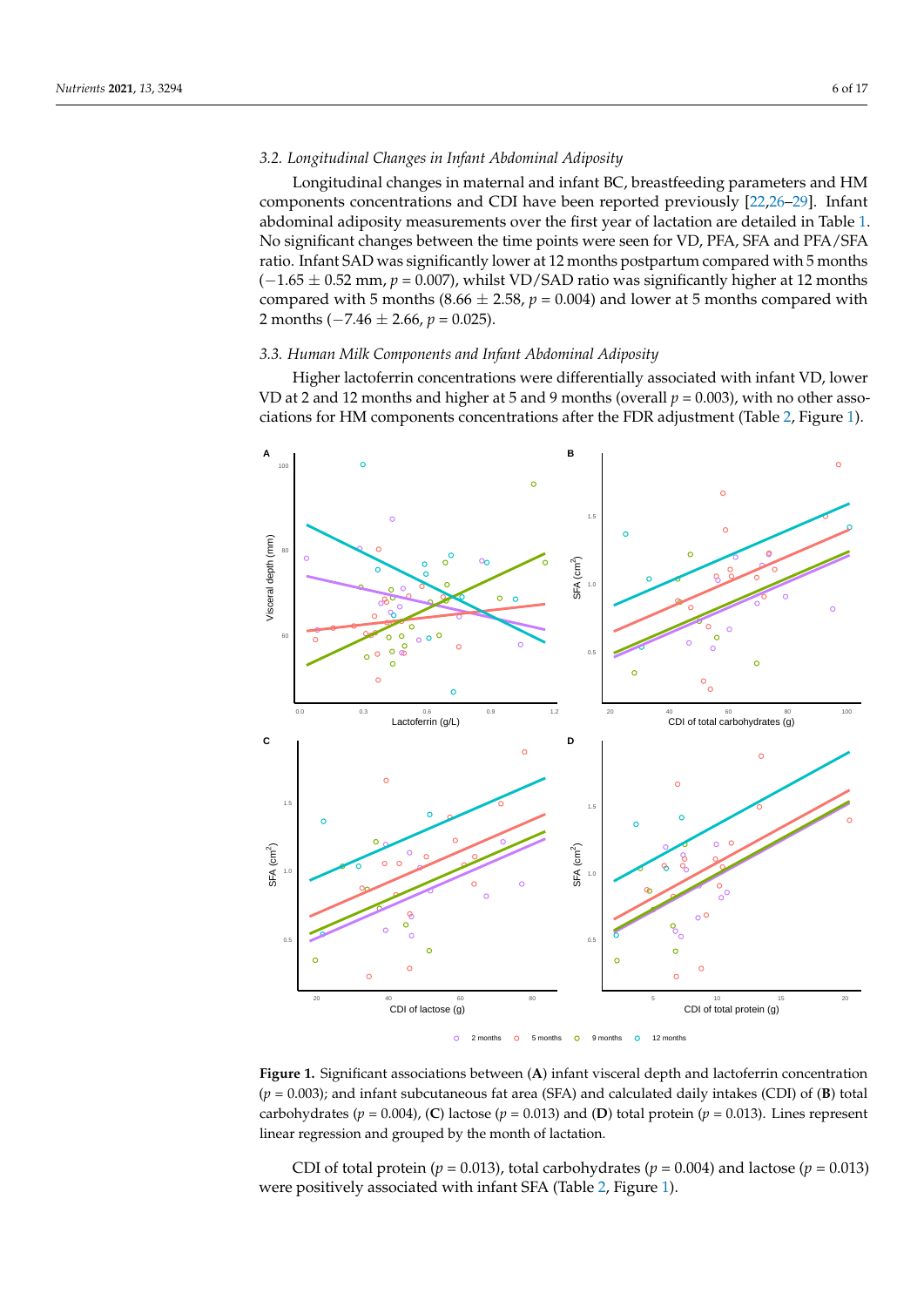# *3.2. Longitudinal Changes in Infant Abdominal Adiposity*

Longitudinal changes in maternal and infant BC, breastfeeding parameters and HM components concentrations and CDI have been reported previously [\[22](#page-15-20)[,26–](#page-15-24)[29\]](#page-16-0). Infant abdominal adiposity measurements over the first year of lactation are detailed in Table [1.](#page-4-0) No significant changes between the time points were seen for VD, PFA, SFA and PFA/SFA ratio. Infant SAD was significantly lower at 12 months postpartum compared with 5 months  $(-1.65 \pm 0.52 \text{ mm}, p = 0.007)$ , whilst VD/SAD ratio was significantly higher at 12 months compared with 5 months (8.66  $\pm$  2.58,  $p = 0.004$ ) and lower at 5 months compared with 2 months (−7.46 ± 2.66, *p* = 0.025).

## *3.3. Human Milk Components and Infant Abdominal Adiposity*

Higher lactoferrin concentrations were differentially associated with infant VD, lower VD at 2 and 12 months and higher at 5 and 9 months (overall  $p = 0.003$ ), with no other associations for HM components concentrations after the FDR adjustment (Table [2,](#page-8-0) Figure [1\)](#page-5-0).

<span id="page-5-0"></span>

**Figure 1.** Significant associations between (**A**) infant visceral depth and lactoferrin concentration (*p* = 0.003); and infant subcutaneous fat area (SFA) and calculated daily intakes (CDI) of (**B**) total carbohydrates ( $p = 0.004$ ), (C) lactose ( $p = 0.013$ ) and (D) total protein ( $p = 0.013$ ). Lines represent linear regression and grouped by the month of lactation.

CDI of total protein ( $p = 0.013$ ), total carbohydrates ( $p = 0.004$ ) and lactose ( $p = 0.013$ ) were positively associated with infant SFA (Table [2,](#page-8-0) Figure [1\)](#page-5-0).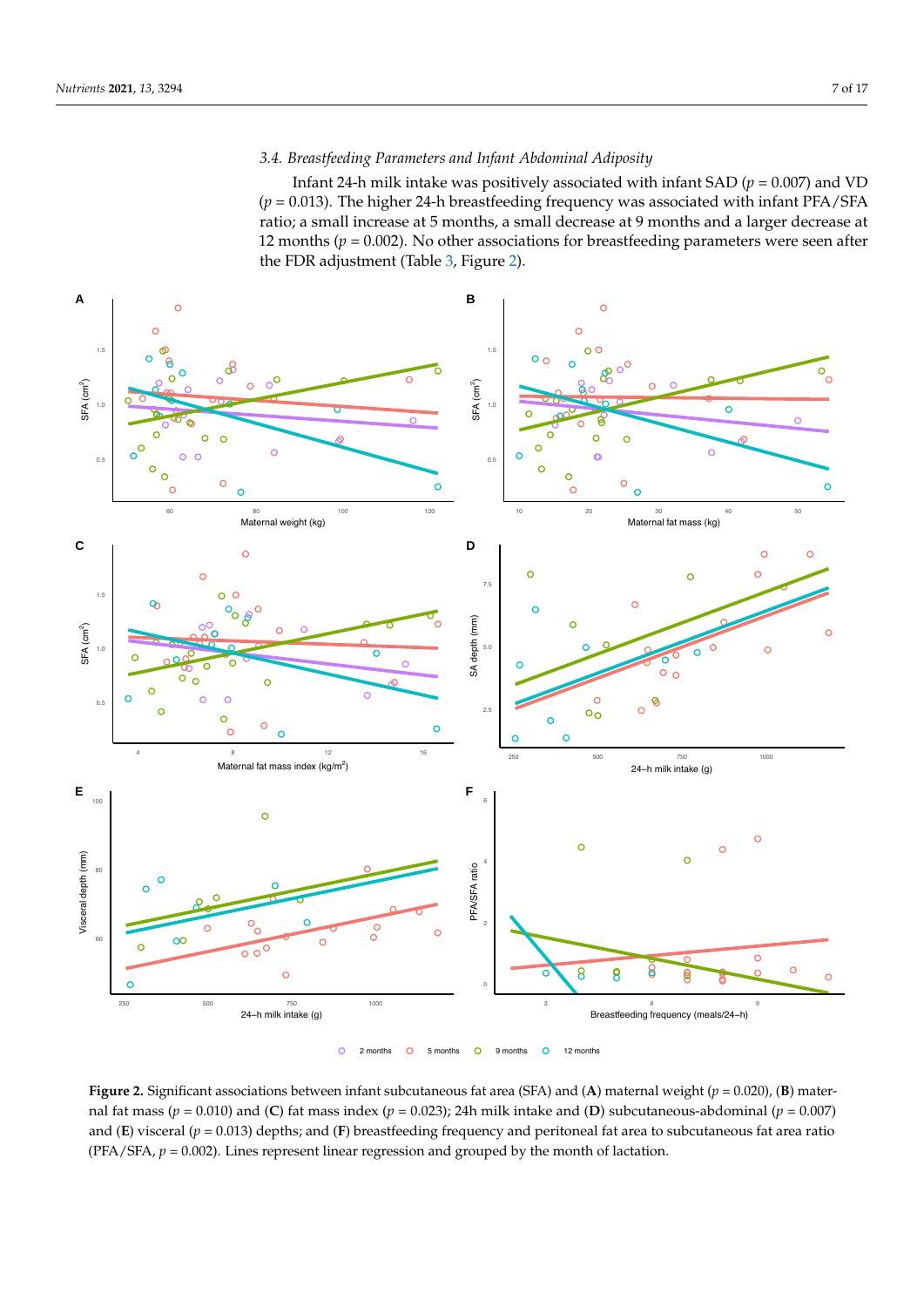# *3.4. Breastfeeding Parameters and Infant Abdominal Adiposity*

Infant 24-h milk intake was positively associated with infant SAD ( $p = 0.007$ ) and VD (*p* = 0.013). The higher 24-h breastfeeding frequency was associated with infant PFA/SFA ratio; a small increase at 5 months, a small decrease at 9 months and a larger decrease at 12 months ( $p = 0.002$ ). No other associations for breastfeeding parameters were seen after the FDR adjustment (Table [3,](#page-10-0) Figure [2\)](#page-6-0).

<span id="page-6-0"></span>

**Figure 2.** Significant associations between infant subcutaneous fat area (SFA) and (**A**) maternal weight ( $p = 0.020$ ), (**B**) maternal fat mass ( $p = 0.010$ ) and (C) fat mass index ( $p = 0.023$ ); 24h milk intake and (D) subcutaneous-abdominal ( $p = 0.007$ ) and (**E**) visceral (*p* = 0.013) depths; and (**F**) breastfeeding frequency and peritoneal fat area to subcutaneous fat area ratio (PFA/SFA,  $p = 0.002$ ). Lines represent linear regression and grouped by the month of lactation.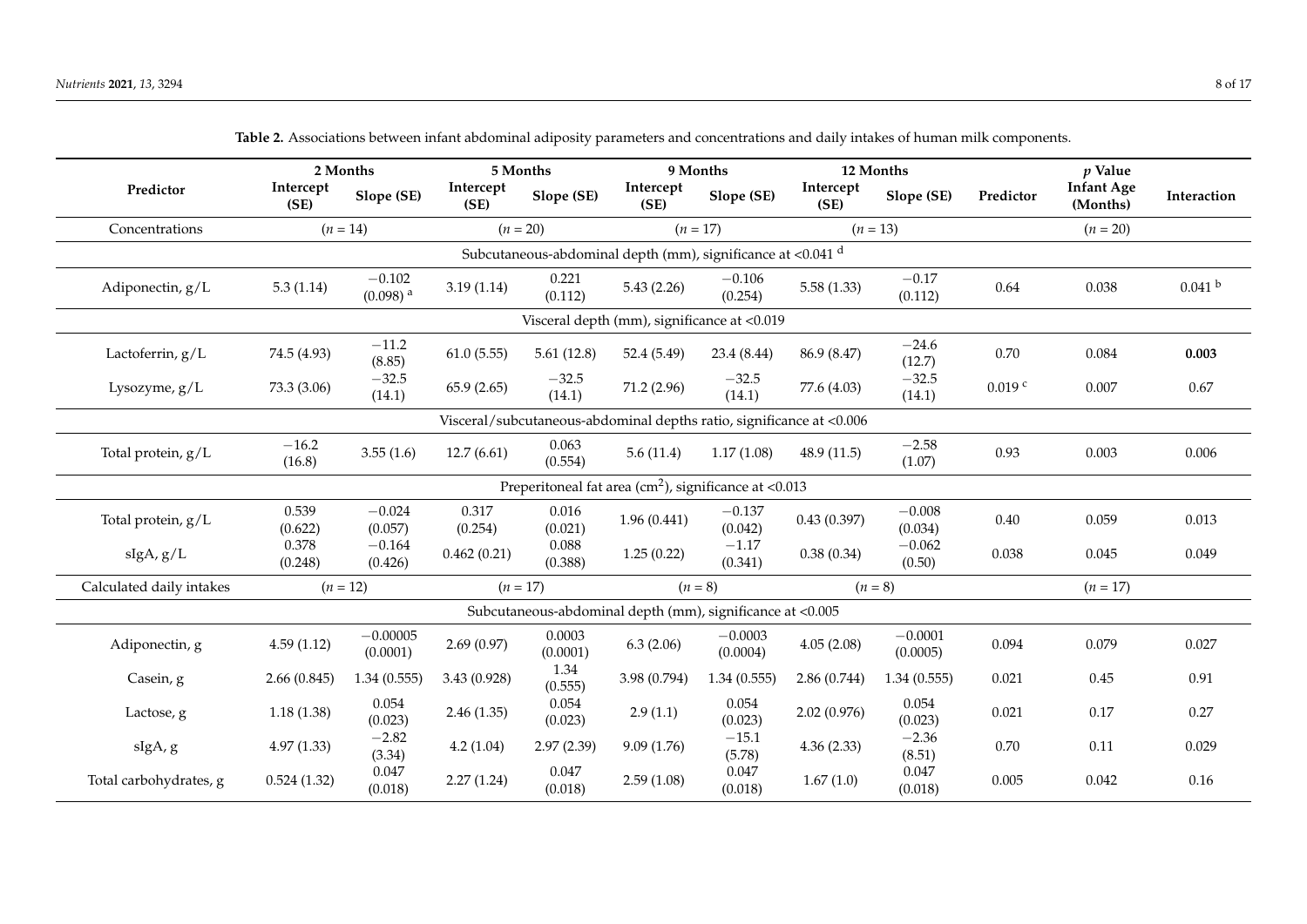|                          |                                                                      | 2 Months                           | 5 Months          |                    |                                                                  | 9 Months              | 12 Months         |                       |           | $p$ Value                     |                    |
|--------------------------|----------------------------------------------------------------------|------------------------------------|-------------------|--------------------|------------------------------------------------------------------|-----------------------|-------------------|-----------------------|-----------|-------------------------------|--------------------|
| Predictor                | Intercept<br>(SE)                                                    | Slope (SE)                         | Intercept<br>(SE) | Slope (SE)         | Intercept<br>(SE)                                                | Slope (SE)            | Intercept<br>(SE) | Slope (SE)            | Predictor | <b>Infant Age</b><br>(Months) | Interaction        |
| Concentrations           |                                                                      | $(n = 14)$                         |                   | $(n = 20)$         |                                                                  | $(n = 17)$            |                   | $(n = 13)$            |           | $(n = 20)$                    |                    |
|                          | Subcutaneous-abdominal depth (mm), significance at <0.041 d          |                                    |                   |                    |                                                                  |                       |                   |                       |           |                               |                    |
| Adiponectin, g/L         | 5.3(1.14)                                                            | $-0.102$<br>$(0.098)$ <sup>a</sup> | 3.19(1.14)        | 0.221<br>(0.112)   | 5.43(2.26)                                                       | $-0.106$<br>(0.254)   | 5.58(1.33)        | $-0.17$<br>(0.112)    | 0.64      | 0.038                         | 0.041 <sup>b</sup> |
|                          |                                                                      |                                    |                   |                    | Visceral depth (mm), significance at <0.019                      |                       |                   |                       |           |                               |                    |
| Lactoferrin, g/L         | 74.5 (4.93)                                                          | $-11.2$<br>(8.85)                  | 61.0(5.55)        | 5.61(12.8)         | 52.4 (5.49)                                                      | 23.4 (8.44)           | 86.9 (8.47)       | $-24.6$<br>(12.7)     | 0.70      | 0.084                         | 0.003              |
| Lysozyme, $g/L$          | 73.3 (3.06)                                                          | $-32.5$<br>(14.1)                  | 65.9(2.65)        | $-32.5$<br>(14.1)  | 71.2 (2.96)                                                      | $-32.5$<br>(14.1)     | 77.6 (4.03)       | $-32.5$<br>(14.1)     | $0.019$ c | 0.007                         | 0.67               |
|                          | Visceral/subcutaneous-abdominal depths ratio, significance at <0.006 |                                    |                   |                    |                                                                  |                       |                   |                       |           |                               |                    |
| Total protein, g/L       | $-16.2$<br>(16.8)                                                    | 3.55(1.6)                          | 12.7(6.61)        | 0.063<br>(0.554)   | 5.6(11.4)                                                        | 1.17(1.08)            | 48.9(11.5)        | $-2.58$<br>(1.07)     | 0.93      | 0.003                         | 0.006              |
|                          |                                                                      |                                    |                   |                    | Preperitoneal fat area ( $\text{cm}^2$ ), significance at <0.013 |                       |                   |                       |           |                               |                    |
| Total protein, g/L       | 0.539<br>(0.622)                                                     | $-0.024$<br>(0.057)                | 0.317<br>(0.254)  | 0.016<br>(0.021)   | 1.96(0.441)                                                      | $-0.137$<br>(0.042)   | 0.43(0.397)       | $-0.008$<br>(0.034)   | 0.40      | 0.059                         | 0.013              |
| slgA, g/L                | 0.378<br>(0.248)                                                     | $-0.164$<br>(0.426)                | 0.462(0.21)       | 0.088<br>(0.388)   | 1.25(0.22)                                                       | $-1.17$<br>(0.341)    | 0.38(0.34)        | $-0.062$<br>(0.50)    | 0.038     | 0.045                         | 0.049              |
| Calculated daily intakes |                                                                      | $(n = 12)$                         |                   | $(n = 17)$         |                                                                  | $(n = 8)$             |                   | $(n = 8)$             |           | $(n = 17)$                    |                    |
|                          |                                                                      |                                    |                   |                    | Subcutaneous-abdominal depth (mm), significance at <0.005        |                       |                   |                       |           |                               |                    |
| Adiponectin, g           | 4.59(1.12)                                                           | $-0.00005$<br>(0.0001)             | 2.69(0.97)        | 0.0003<br>(0.0001) | 6.3(2.06)                                                        | $-0.0003$<br>(0.0004) | 4.05(2.08)        | $-0.0001$<br>(0.0005) | 0.094     | 0.079                         | 0.027              |
| Casein, g                | 2.66(0.845)                                                          | 1.34(0.555)                        | 3.43(0.928)       | 1.34<br>(0.555)    | 3.98 (0.794)                                                     | 1.34(0.555)           | 2.86(0.744)       | 1.34(0.555)           | 0.021     | 0.45                          | 0.91               |
| Lactose, g               | 1.18(1.38)                                                           | 0.054<br>(0.023)                   | 2.46(1.35)        | 0.054<br>(0.023)   | 2.9(1.1)                                                         | 0.054<br>(0.023)      | 2.02(0.976)       | 0.054<br>(0.023)      | 0.021     | 0.17                          | 0.27               |
| sIgA, g                  | 4.97(1.33)                                                           | $-2.82$<br>(3.34)                  | 4.2(1.04)         | 2.97(2.39)         | 9.09(1.76)                                                       | $-15.1$<br>(5.78)     | 4.36(2.33)        | $-2.36$<br>(8.51)     | 0.70      | 0.11                          | 0.029              |
| Total carbohydrates, g   | 0.524(1.32)                                                          | 0.047<br>(0.018)                   | 2.27(1.24)        | 0.047<br>(0.018)   | 2.59(1.08)                                                       | 0.047<br>(0.018)      | 1.67(1.0)         | 0.047<br>(0.018)      | 0.005     | 0.042                         | 0.16               |

**Table 2.** Associations between infant abdominal adiposity parameters and concentrations and daily intakes of human milk components.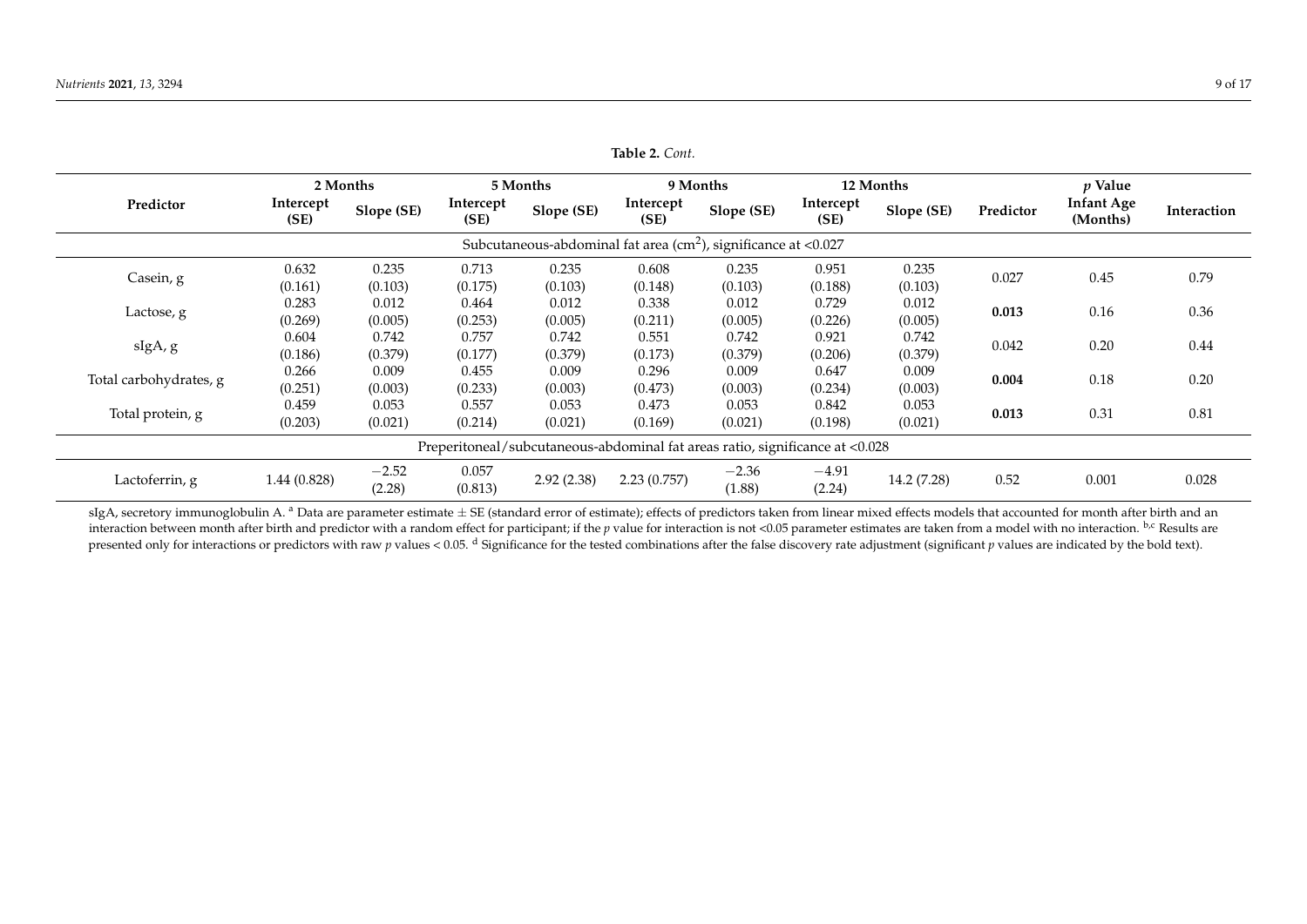|                                                                           |                                                                              | 2 Months          |                   | 5 Months         |                   | 9 Months          |                   | 12 Months        |           | $p$ Value                     |             |
|---------------------------------------------------------------------------|------------------------------------------------------------------------------|-------------------|-------------------|------------------|-------------------|-------------------|-------------------|------------------|-----------|-------------------------------|-------------|
| Predictor                                                                 | Intercept<br>(SE)                                                            | Slope (SE)        | Intercept<br>(SE) | Slope (SE)       | Intercept<br>(SE) | Slope (SE)        | Intercept<br>(SE) | Slope (SE)       | Predictor | <b>Infant Age</b><br>(Months) | Interaction |
| Subcutaneous-abdominal fat area ( $\text{cm}^2$ ), significance at <0.027 |                                                                              |                   |                   |                  |                   |                   |                   |                  |           |                               |             |
| Casein, g                                                                 | 0.632<br>(0.161)                                                             | 0.235<br>(0.103)  | 0.713<br>(0.175)  | 0.235<br>(0.103) | 0.608<br>(0.148)  | 0.235<br>(0.103)  | 0.951<br>(0.188)  | 0.235<br>(0.103) | 0.027     | 0.45                          | 0.79        |
| Lactose, g                                                                | 0.283<br>(0.269)                                                             | 0.012<br>(0.005)  | 0.464<br>(0.253)  | 0.012<br>(0.005) | 0.338<br>(0.211)  | 0.012<br>(0.005)  | 0.729<br>(0.226)  | 0.012<br>(0.005) | 0.013     | 0.16                          | 0.36        |
| sIgA, g                                                                   | 0.604<br>(0.186)                                                             | 0.742<br>(0.379)  | 0.757<br>(0.177)  | 0.742<br>(0.379) | 0.551<br>(0.173)  | 0.742<br>(0.379)  | 0.921<br>(0.206)  | 0.742<br>(0.379) | 0.042     | 0.20                          | 0.44        |
| Total carbohydrates, g                                                    | 0.266<br>(0.251)                                                             | 0.009<br>(0.003)  | 0.455<br>(0.233)  | 0.009<br>(0.003) | 0.296<br>(0.473)  | 0.009<br>(0.003)  | 0.647<br>(0.234)  | 0.009<br>(0.003) | 0.004     | 0.18                          | 0.20        |
| Total protein, g                                                          | 0.459<br>(0.203)                                                             | 0.053<br>(0.021)  | 0.557<br>(0.214)  | 0.053<br>(0.021) | 0.473<br>(0.169)  | 0.053<br>(0.021)  | 0.842<br>(0.198)  | 0.053<br>(0.021) | 0.013     | 0.31                          | 0.81        |
|                                                                           | Preperitoneal/subcutaneous-abdominal fat areas ratio, significance at <0.028 |                   |                   |                  |                   |                   |                   |                  |           |                               |             |
| Lactoferrin, g                                                            | 1.44(0.828)                                                                  | $-2.52$<br>(2.28) | 0.057<br>(0.813)  | 2.92(2.38)       | 2.23(0.757)       | $-2.36$<br>(1.88) | $-4.91$<br>(2.24) | 14.2 (7.28)      | 0.52      | 0.001                         | 0.028       |

**Table 2.** *Cont.*

<span id="page-8-0"></span>sIgA, secretory immunoglobulin A. <sup>a</sup> Data are parameter estimate  $\pm$  SE (standard error of estimate); effects of predictors taken from linear mixed effects models that accounted for month after birth and an interaction between month after birth and predictor with a random effect for participant; if the *p* value for interaction is not <0.05 parameter estimates are taken from a model with no interaction. <sup>b,c</sup> Results are presented only for interactions or predictors with raw  $p$  values < 0.05.  $d$  Significance for the tested combinations after the false discovery rate adjustment (significant  $p$  values are indicated by the bold text).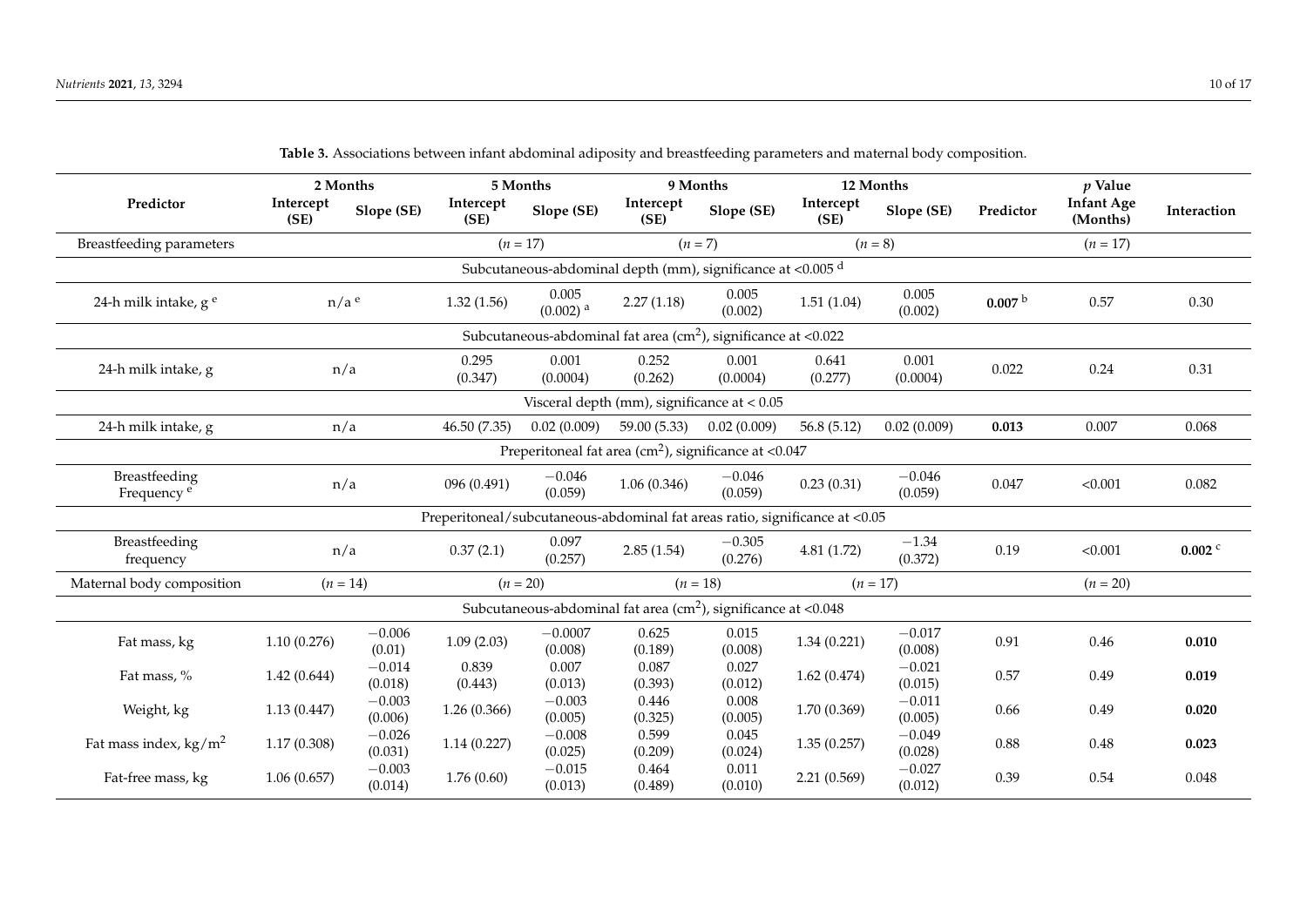| $\sigma$ r                                                        |                    |                     |                                                                             |                                                                           |                   |                     |                   |                     |                    |                               |                      |
|-------------------------------------------------------------------|--------------------|---------------------|-----------------------------------------------------------------------------|---------------------------------------------------------------------------|-------------------|---------------------|-------------------|---------------------|--------------------|-------------------------------|----------------------|
|                                                                   |                    | 2 Months            |                                                                             | 5 Months                                                                  |                   | 9 Months            | 12 Months         |                     |                    | $p$ Value                     |                      |
| Predictor                                                         | Intercept<br>(SE)  | Slope (SE)          | Intercept<br>(SE)                                                           | Slope (SE)                                                                | Intercept<br>(SE) | Slope (SE)          | Intercept<br>(SE) | Slope (SE)          | Predictor          | <b>Infant Age</b><br>(Months) | Interaction          |
| <b>Breastfeeding parameters</b>                                   |                    |                     |                                                                             | $(n = 17)$                                                                |                   | $(n = 7)$           |                   | $(n = 8)$           |                    | $(n = 17)$                    |                      |
| Subcutaneous-abdominal depth (mm), significance at <0.005 d       |                    |                     |                                                                             |                                                                           |                   |                     |                   |                     |                    |                               |                      |
| 24-h milk intake, g <sup>e</sup>                                  | $n/a$ <sup>e</sup> |                     | 1.32(1.56)                                                                  | 0.005<br>$(0.002)$ <sup>a</sup>                                           | 2.27(1.18)        | 0.005<br>(0.002)    | 1.51(1.04)        | 0.005<br>(0.002)    | 0.007 <sup>b</sup> | 0.57                          | 0.30                 |
| Subcutaneous-abdominal fat area $(cm2)$ , significance at <0.022  |                    |                     |                                                                             |                                                                           |                   |                     |                   |                     |                    |                               |                      |
| 24-h milk intake, g                                               | n/a                |                     | 0.295<br>(0.347)                                                            | 0.001<br>(0.0004)                                                         | 0.252<br>(0.262)  | 0.001<br>(0.0004)   | 0.641<br>(0.277)  | 0.001<br>(0.0004)   | 0.022              | 0.24                          | 0.31                 |
| Visceral depth (mm), significance at $< 0.05$                     |                    |                     |                                                                             |                                                                           |                   |                     |                   |                     |                    |                               |                      |
| 24-h milk intake, g                                               | n/a                |                     | 46.50 (7.35)                                                                | 0.02(0.009)                                                               | 59.00 (5.33)      | 0.02(0.009)         | 56.8(5.12)        | 0.02(0.009)         | 0.013              | 0.007                         | 0.068                |
| Preperitoneal fat area (cm <sup>2</sup> ), significance at <0.047 |                    |                     |                                                                             |                                                                           |                   |                     |                   |                     |                    |                               |                      |
| Breastfeeding<br>Frequency <sup>e</sup>                           | n/a                |                     | 096 (0.491)                                                                 | $-0.046$<br>(0.059)                                                       | 1.06(0.346)       | $-0.046$<br>(0.059) | 0.23(0.31)        | $-0.046$<br>(0.059) | 0.047              | < 0.001                       | 0.082                |
|                                                                   |                    |                     | Preperitoneal/subcutaneous-abdominal fat areas ratio, significance at <0.05 |                                                                           |                   |                     |                   |                     |                    |                               |                      |
| Breastfeeding<br>frequency                                        | n/a                |                     | 0.37(2.1)                                                                   | 0.097<br>(0.257)                                                          | 2.85(1.54)        | $-0.305$<br>(0.276) | 4.81(1.72)        | $-1.34$<br>(0.372)  | 0.19               | < 0.001                       | $0.002$ <sup>c</sup> |
| Maternal body composition                                         | $(n = 14)$         |                     | $(n = 20)$                                                                  |                                                                           |                   | $(n = 18)$          |                   | $(n = 17)$          |                    | $(n = 20)$                    |                      |
|                                                                   |                    |                     |                                                                             | Subcutaneous-abdominal fat area ( $\text{cm}^2$ ), significance at <0.048 |                   |                     |                   |                     |                    |                               |                      |
| Fat mass, kg                                                      | 1.10(0.276)        | $-0.006$<br>(0.01)  | 1.09(2.03)                                                                  | $-0.0007$<br>(0.008)                                                      | 0.625<br>(0.189)  | 0.015<br>(0.008)    | 1.34(0.221)       | $-0.017$<br>(0.008) | 0.91               | 0.46                          | 0.010                |
| Fat mass, %                                                       | 1.42(0.644)        | $-0.014$<br>(0.018) | 0.839<br>(0.443)                                                            | 0.007<br>(0.013)                                                          | 0.087<br>(0.393)  | 0.027<br>(0.012)    | 1.62(0.474)       | $-0.021$<br>(0.015) | 0.57               | 0.49                          | 0.019                |
| Weight, kg                                                        | 1.13(0.447)        | $-0.003$<br>(0.006) | 1.26(0.366)                                                                 | $-0.003$<br>(0.005)                                                       | 0.446<br>(0.325)  | 0.008<br>(0.005)    | 1.70 (0.369)      | $-0.011$<br>(0.005) | 0.66               | 0.49                          | 0.020                |
| Fat mass index, $\text{kg/m}^2$                                   | 1.17(0.308)        | $-0.026$<br>(0.031) | 1.14(0.227)                                                                 | $-0.008$<br>(0.025)                                                       | 0.599<br>(0.209)  | 0.045<br>(0.024)    | 1.35(0.257)       | $-0.049$<br>(0.028) | 0.88               | 0.48                          | 0.023                |
| Fat-free mass, kg                                                 | 1.06(0.657)        | $-0.003$<br>(0.014) | 1.76(0.60)                                                                  | $-0.015$<br>(0.013)                                                       | 0.464<br>(0.489)  | 0.011<br>(0.010)    | 2.21(0.569)       | $-0.027$<br>(0.012) | 0.39               | 0.54                          | 0.048                |

**Table 3.** Associations between infant abdominal adiposity and breastfeeding parameters and maternal body composition.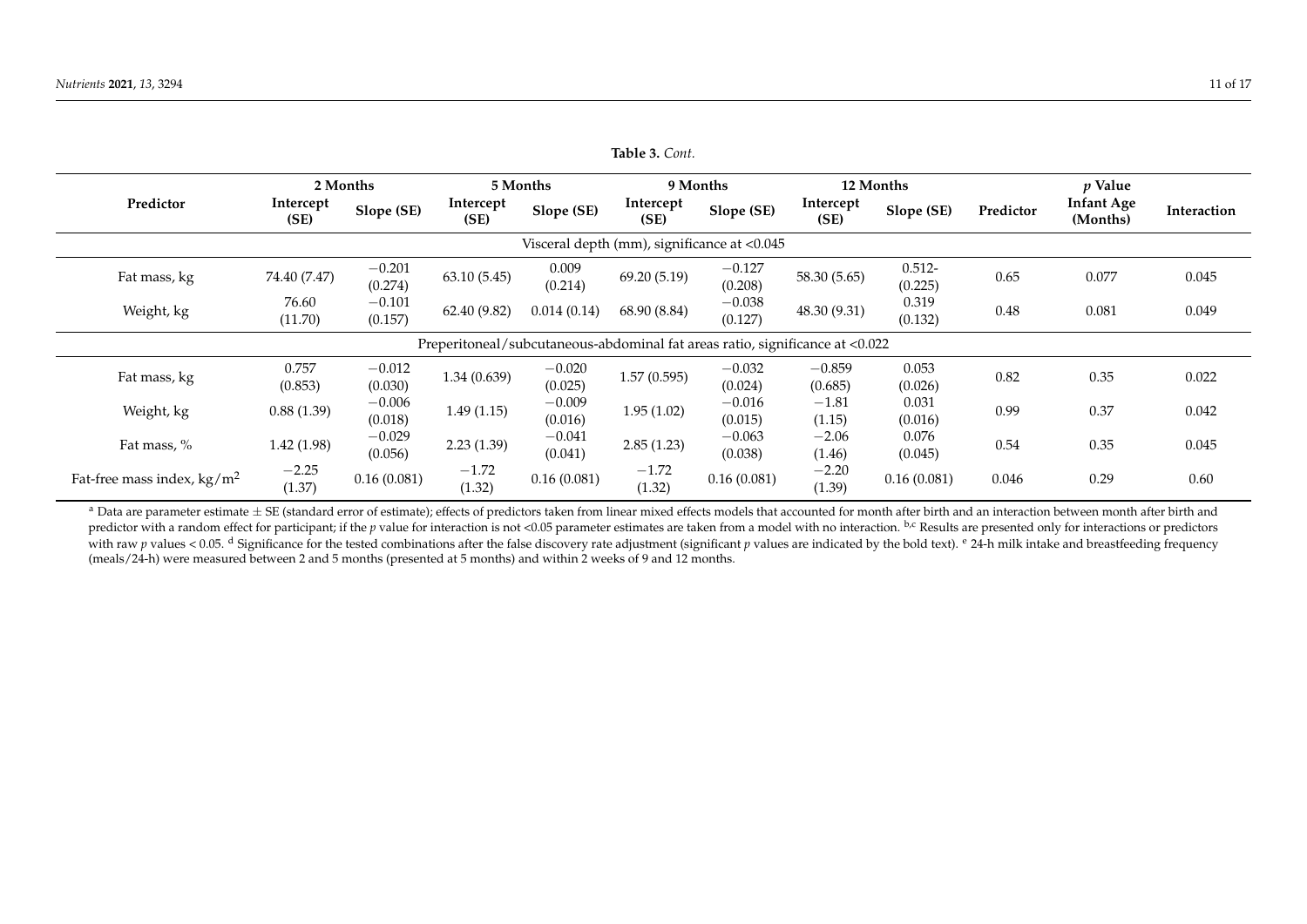|                                             |                   | 2 Months            | 5 Months          |                                                                              |                   | 9 Months            | 12 Months           |                      | $p$ Value |                               |             |
|---------------------------------------------|-------------------|---------------------|-------------------|------------------------------------------------------------------------------|-------------------|---------------------|---------------------|----------------------|-----------|-------------------------------|-------------|
| Predictor                                   | Intercept<br>(SE) | Slope (SE)          | Intercept<br>(SE) | Slope (SE)                                                                   | Intercept<br>(SE) | Slope (SE)          | Intercept<br>(SE)   | Slope (SE)           | Predictor | <b>Infant Age</b><br>(Months) | Interaction |
| Visceral depth (mm), significance at <0.045 |                   |                     |                   |                                                                              |                   |                     |                     |                      |           |                               |             |
| Fat mass, kg                                | 74.40 (7.47)      | $-0.201$<br>(0.274) | 63.10(5.45)       | 0.009<br>(0.214)                                                             | 69.20 (5.19)      | $-0.127$<br>(0.208) | 58.30 (5.65)        | $0.512 -$<br>(0.225) | 0.65      | 0.077                         | 0.045       |
| Weight, kg                                  | 76.60<br>(11.70)  | $-0.101$<br>(0.157) | 62.40 (9.82)      | 0.014(0.14)                                                                  | 68.90 (8.84)      | $-0.038$<br>(0.127) | 48.30 (9.31)        | 0.319<br>(0.132)     | 0.48      | 0.081                         | 0.049       |
|                                             |                   |                     |                   | Preperitoneal/subcutaneous-abdominal fat areas ratio, significance at <0.022 |                   |                     |                     |                      |           |                               |             |
| Fat mass, kg                                | 0.757<br>(0.853)  | $-0.012$<br>(0.030) | 1.34(0.639)       | $-0.020$<br>(0.025)                                                          | 1.57(0.595)       | $-0.032$<br>(0.024) | $-0.859$<br>(0.685) | 0.053<br>(0.026)     | 0.82      | 0.35                          | 0.022       |
| Weight, kg                                  | 0.88(1.39)        | $-0.006$<br>(0.018) | 1.49(1.15)        | $-0.009$<br>(0.016)                                                          | 1.95(1.02)        | $-0.016$<br>(0.015) | $-1.81$<br>(1.15)   | 0.031<br>(0.016)     | 0.99      | 0.37                          | 0.042       |
| Fat mass, %                                 | 1.42(1.98)        | $-0.029$<br>(0.056) | 2.23(1.39)        | $-0.041$<br>(0.041)                                                          | 2.85(1.23)        | $-0.063$<br>(0.038) | $-2.06$<br>(1.46)   | 0.076<br>(0.045)     | 0.54      | 0.35                          | 0.045       |
| Fat-free mass index, $\text{kg}/\text{m}^2$ | $-2.25$<br>(1.37) | 0.16(0.081)         | $-1.72$<br>(1.32) | 0.16(0.081)                                                                  | $-1.72$<br>(1.32) | 0.16(0.081)         | $-2.20$<br>(1.39)   | 0.16(0.081)          | 0.046     | 0.29                          | 0.60        |

**Table 3.** *Cont.*

<span id="page-10-0"></span><sup>a</sup> Data are parameter estimate  $\pm$  SE (standard error of estimate); effects of predictors taken from linear mixed effects models that accounted for month after birth and an interaction between month after birth and an i predictor with a random effect for participant; if the *p* value for interaction is not <0.05 parameter estimates are taken from a model with no interaction. <sup>b,c</sup> Results are presented only for interactions or predictors with raw p values < 0.05. d Significance for the tested combinations after the false discovery rate adjustment (significant p values are indicated by the bold text). <sup>e</sup> 24-h milk intake and breastfeeding frequency (meals/24-h) were measured between 2 and 5 months (presented at 5 months) and within 2 weeks of 9 and 12 months.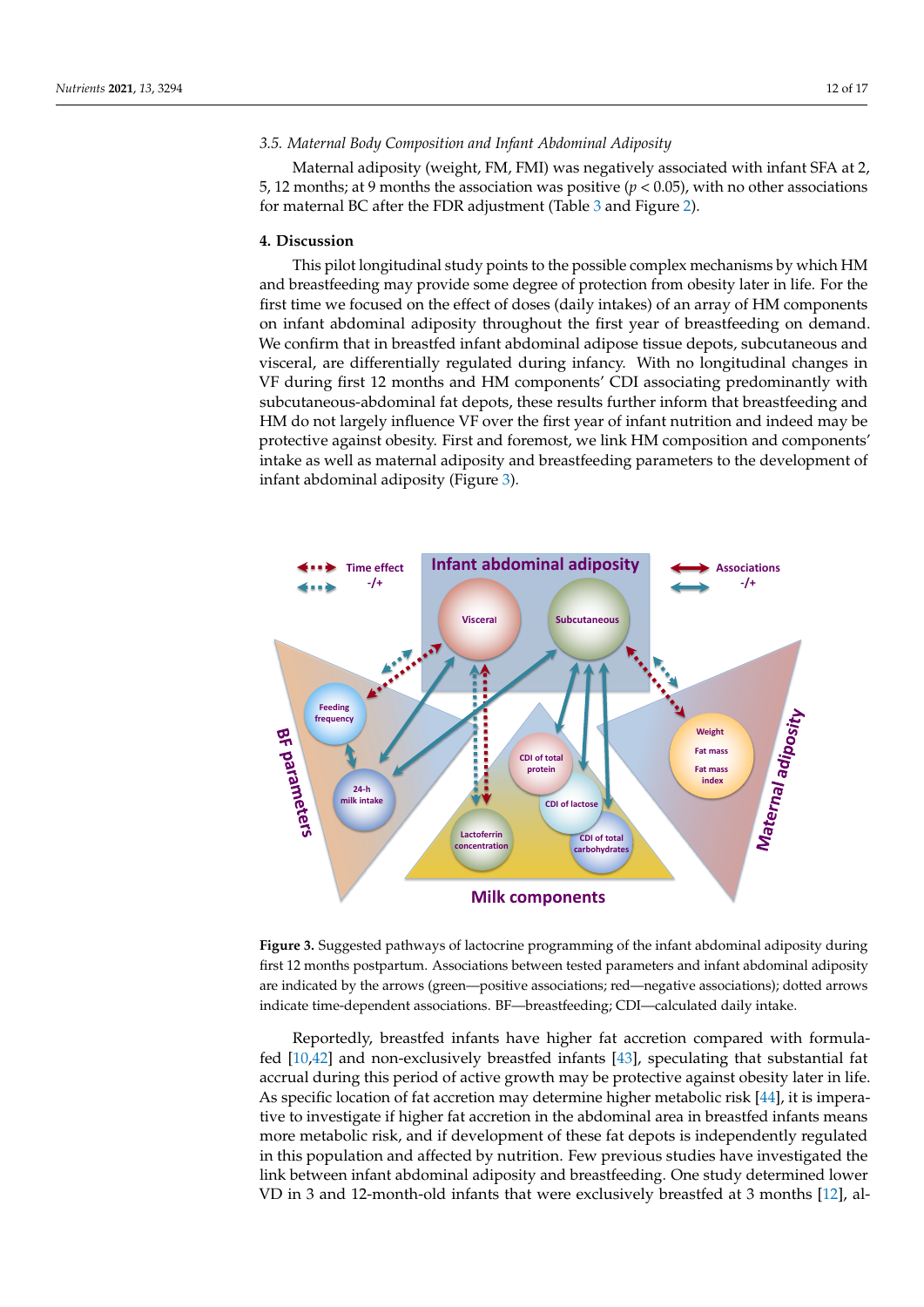# *3.5. Maternal Body Composition and Infant Abdominal Adiposity*

Maternal adiposity (weight, FM, FMI) was negatively associated with infant SFA at 2, 5, 12 months; at 9 months the association was positive ( $p < 0.05$ ), with no other associations for maternal BC after the FDR adjustment (Table [3](#page-10-0) and Figure [2\)](#page-6-0).

#### **4. Discussion**

This pilot longitudinal study points to the possible complex mechanisms by which HM and breastfeeding may provide some degree of protection from obesity later in life. For the first time we focused on the effect of doses (daily intakes) of an array of HM components on infant abdominal adiposity throughout the first year of breastfeeding on demand. We confirm that in breastfed infant abdominal adipose tissue depots, subcutaneous and visceral, are differentially regulated during infancy. With no longitudinal changes in VF during first 12 months and HM components' CDI associating predominantly with subcutaneous-abdominal fat depots, these results further inform that breastfeeding and HM do not largely influence VF over the first year of infant nutrition and indeed may be protective against obesity. First and foremost, we link HM composition and components' intake as well as maternal adiposity and breastfeeding parameters to the development of infant abdominal adiposity (Figure [3\)](#page-11-0).

<span id="page-11-0"></span>

**Figure 3.** Suggested pathways of lactocrine programming of the infant abdominal adiposity during first 12 months postpartum. Associations between tested parameters and infant abdominal adiposity are indicated by the arrows (green—positive associations; red—negative associations); dotted arrows indicate time-dependent associations. BF—breastfeeding; CDI—calculated daily intake.

Reportedly, breastfed infants have higher fat accretion compared with formulafed [\[10](#page-15-8)[,42\]](#page-16-14) and non-exclusively breastfed infants [\[43\]](#page-16-15), speculating that substantial fat accrual during this period of active growth may be protective against obesity later in life. As specific location of fat accretion may determine higher metabolic risk [\[44\]](#page-16-16), it is imperative to investigate if higher fat accretion in the abdominal area in breastfed infants means more metabolic risk, and if development of these fat depots is independently regulated in this population and affected by nutrition. Few previous studies have investigated the link between infant abdominal adiposity and breastfeeding. One study determined lower VD in 3 and 12-month-old infants that were exclusively breastfed at 3 months [\[12\]](#page-15-10), al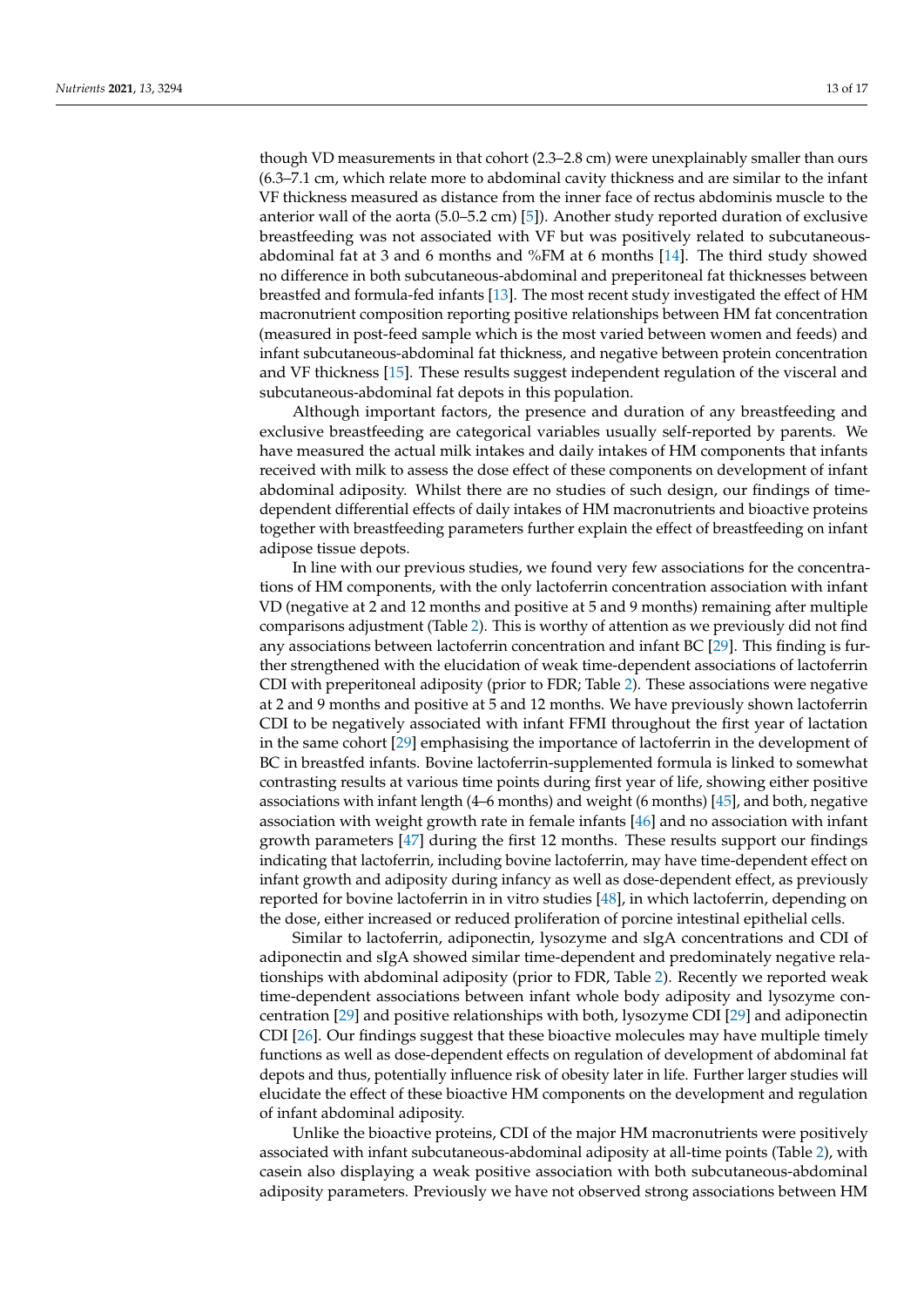though VD measurements in that cohort (2.3–2.8 cm) were unexplainably smaller than ours (6.3–7.1 cm, which relate more to abdominal cavity thickness and are similar to the infant VF thickness measured as distance from the inner face of rectus abdominis muscle to the anterior wall of the aorta (5.0–5.2 cm) [\[5\]](#page-15-4)). Another study reported duration of exclusive breastfeeding was not associated with VF but was positively related to subcutaneousabdominal fat at 3 and 6 months and %FM at 6 months [\[14\]](#page-15-12). The third study showed no difference in both subcutaneous-abdominal and preperitoneal fat thicknesses between breastfed and formula-fed infants [\[13\]](#page-15-11). The most recent study investigated the effect of HM macronutrient composition reporting positive relationships between HM fat concentration (measured in post-feed sample which is the most varied between women and feeds) and infant subcutaneous-abdominal fat thickness, and negative between protein concentration and VF thickness [\[15\]](#page-15-13). These results suggest independent regulation of the visceral and subcutaneous-abdominal fat depots in this population.

Although important factors, the presence and duration of any breastfeeding and exclusive breastfeeding are categorical variables usually self-reported by parents. We have measured the actual milk intakes and daily intakes of HM components that infants received with milk to assess the dose effect of these components on development of infant abdominal adiposity. Whilst there are no studies of such design, our findings of timedependent differential effects of daily intakes of HM macronutrients and bioactive proteins together with breastfeeding parameters further explain the effect of breastfeeding on infant adipose tissue depots.

In line with our previous studies, we found very few associations for the concentrations of HM components, with the only lactoferrin concentration association with infant VD (negative at 2 and 12 months and positive at 5 and 9 months) remaining after multiple comparisons adjustment (Table [2\)](#page-8-0). This is worthy of attention as we previously did not find any associations between lactoferrin concentration and infant BC [\[29\]](#page-16-0). This finding is further strengthened with the elucidation of weak time-dependent associations of lactoferrin CDI with preperitoneal adiposity (prior to FDR; Table [2\)](#page-8-0). These associations were negative at 2 and 9 months and positive at 5 and 12 months. We have previously shown lactoferrin CDI to be negatively associated with infant FFMI throughout the first year of lactation in the same cohort [\[29\]](#page-16-0) emphasising the importance of lactoferrin in the development of BC in breastfed infants. Bovine lactoferrin-supplemented formula is linked to somewhat contrasting results at various time points during first year of life, showing either positive associations with infant length (4–6 months) and weight (6 months) [\[45\]](#page-16-17), and both, negative association with weight growth rate in female infants [\[46\]](#page-16-18) and no association with infant growth parameters [\[47\]](#page-16-19) during the first 12 months. These results support our findings indicating that lactoferrin, including bovine lactoferrin, may have time-dependent effect on infant growth and adiposity during infancy as well as dose-dependent effect, as previously reported for bovine lactoferrin in in vitro studies [\[48\]](#page-16-20), in which lactoferrin, depending on the dose, either increased or reduced proliferation of porcine intestinal epithelial cells.

Similar to lactoferrin, adiponectin, lysozyme and sIgA concentrations and CDI of adiponectin and sIgA showed similar time-dependent and predominately negative relationships with abdominal adiposity (prior to FDR, Table [2\)](#page-8-0). Recently we reported weak time-dependent associations between infant whole body adiposity and lysozyme concentration [\[29\]](#page-16-0) and positive relationships with both, lysozyme CDI [\[29\]](#page-16-0) and adiponectin CDI [\[26\]](#page-15-24). Our findings suggest that these bioactive molecules may have multiple timely functions as well as dose-dependent effects on regulation of development of abdominal fat depots and thus, potentially influence risk of obesity later in life. Further larger studies will elucidate the effect of these bioactive HM components on the development and regulation of infant abdominal adiposity.

Unlike the bioactive proteins, CDI of the major HM macronutrients were positively associated with infant subcutaneous-abdominal adiposity at all-time points (Table [2\)](#page-8-0), with casein also displaying a weak positive association with both subcutaneous-abdominal adiposity parameters. Previously we have not observed strong associations between HM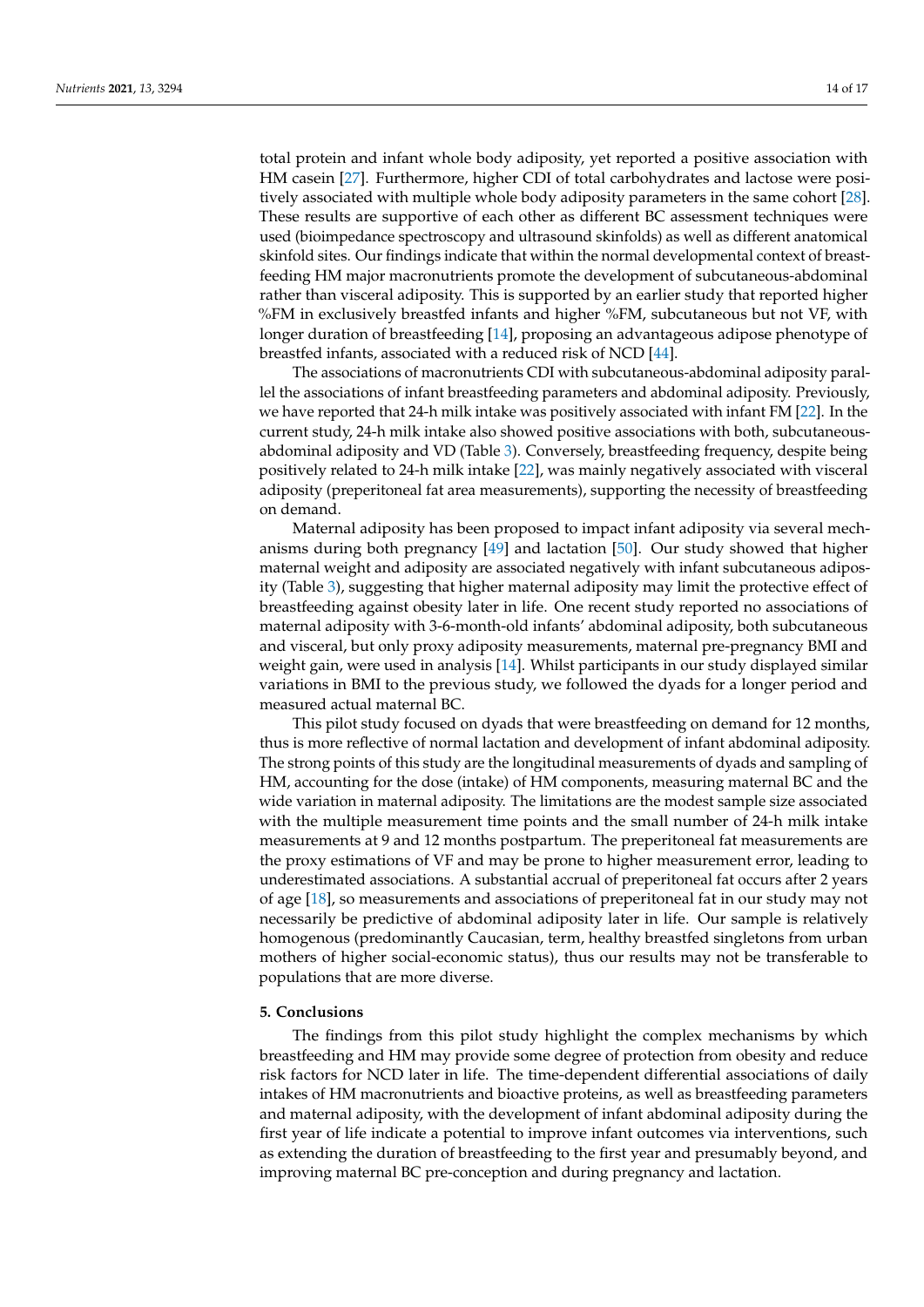total protein and infant whole body adiposity, yet reported a positive association with HM casein [\[27\]](#page-16-21). Furthermore, higher CDI of total carbohydrates and lactose were positively associated with multiple whole body adiposity parameters in the same cohort [\[28\]](#page-16-10). These results are supportive of each other as different BC assessment techniques were used (bioimpedance spectroscopy and ultrasound skinfolds) as well as different anatomical skinfold sites. Our findings indicate that within the normal developmental context of breastfeeding HM major macronutrients promote the development of subcutaneous-abdominal rather than visceral adiposity. This is supported by an earlier study that reported higher %FM in exclusively breastfed infants and higher %FM, subcutaneous but not VF, with longer duration of breastfeeding [\[14\]](#page-15-12), proposing an advantageous adipose phenotype of breastfed infants, associated with a reduced risk of NCD [\[44\]](#page-16-16).

The associations of macronutrients CDI with subcutaneous-abdominal adiposity parallel the associations of infant breastfeeding parameters and abdominal adiposity. Previously, we have reported that 24-h milk intake was positively associated with infant FM [\[22\]](#page-15-20). In the current study, 24-h milk intake also showed positive associations with both, subcutaneousabdominal adiposity and VD (Table [3\)](#page-10-0). Conversely, breastfeeding frequency, despite being positively related to 24-h milk intake [\[22\]](#page-15-20), was mainly negatively associated with visceral adiposity (preperitoneal fat area measurements), supporting the necessity of breastfeeding on demand.

Maternal adiposity has been proposed to impact infant adiposity via several mechanisms during both pregnancy [\[49\]](#page-16-22) and lactation [\[50\]](#page-16-23). Our study showed that higher maternal weight and adiposity are associated negatively with infant subcutaneous adiposity (Table [3\)](#page-10-0), suggesting that higher maternal adiposity may limit the protective effect of breastfeeding against obesity later in life. One recent study reported no associations of maternal adiposity with 3-6-month-old infants' abdominal adiposity, both subcutaneous and visceral, but only proxy adiposity measurements, maternal pre-pregnancy BMI and weight gain, were used in analysis [\[14\]](#page-15-12). Whilst participants in our study displayed similar variations in BMI to the previous study, we followed the dyads for a longer period and measured actual maternal BC.

This pilot study focused on dyads that were breastfeeding on demand for 12 months, thus is more reflective of normal lactation and development of infant abdominal adiposity. The strong points of this study are the longitudinal measurements of dyads and sampling of HM, accounting for the dose (intake) of HM components, measuring maternal BC and the wide variation in maternal adiposity. The limitations are the modest sample size associated with the multiple measurement time points and the small number of 24-h milk intake measurements at 9 and 12 months postpartum. The preperitoneal fat measurements are the proxy estimations of VF and may be prone to higher measurement error, leading to underestimated associations. A substantial accrual of preperitoneal fat occurs after 2 years of age [\[18\]](#page-15-16), so measurements and associations of preperitoneal fat in our study may not necessarily be predictive of abdominal adiposity later in life. Our sample is relatively homogenous (predominantly Caucasian, term, healthy breastfed singletons from urban mothers of higher social-economic status), thus our results may not be transferable to populations that are more diverse.

# **5. Conclusions**

The findings from this pilot study highlight the complex mechanisms by which breastfeeding and HM may provide some degree of protection from obesity and reduce risk factors for NCD later in life. The time-dependent differential associations of daily intakes of HM macronutrients and bioactive proteins, as well as breastfeeding parameters and maternal adiposity, with the development of infant abdominal adiposity during the first year of life indicate a potential to improve infant outcomes via interventions, such as extending the duration of breastfeeding to the first year and presumably beyond, and improving maternal BC pre-conception and during pregnancy and lactation.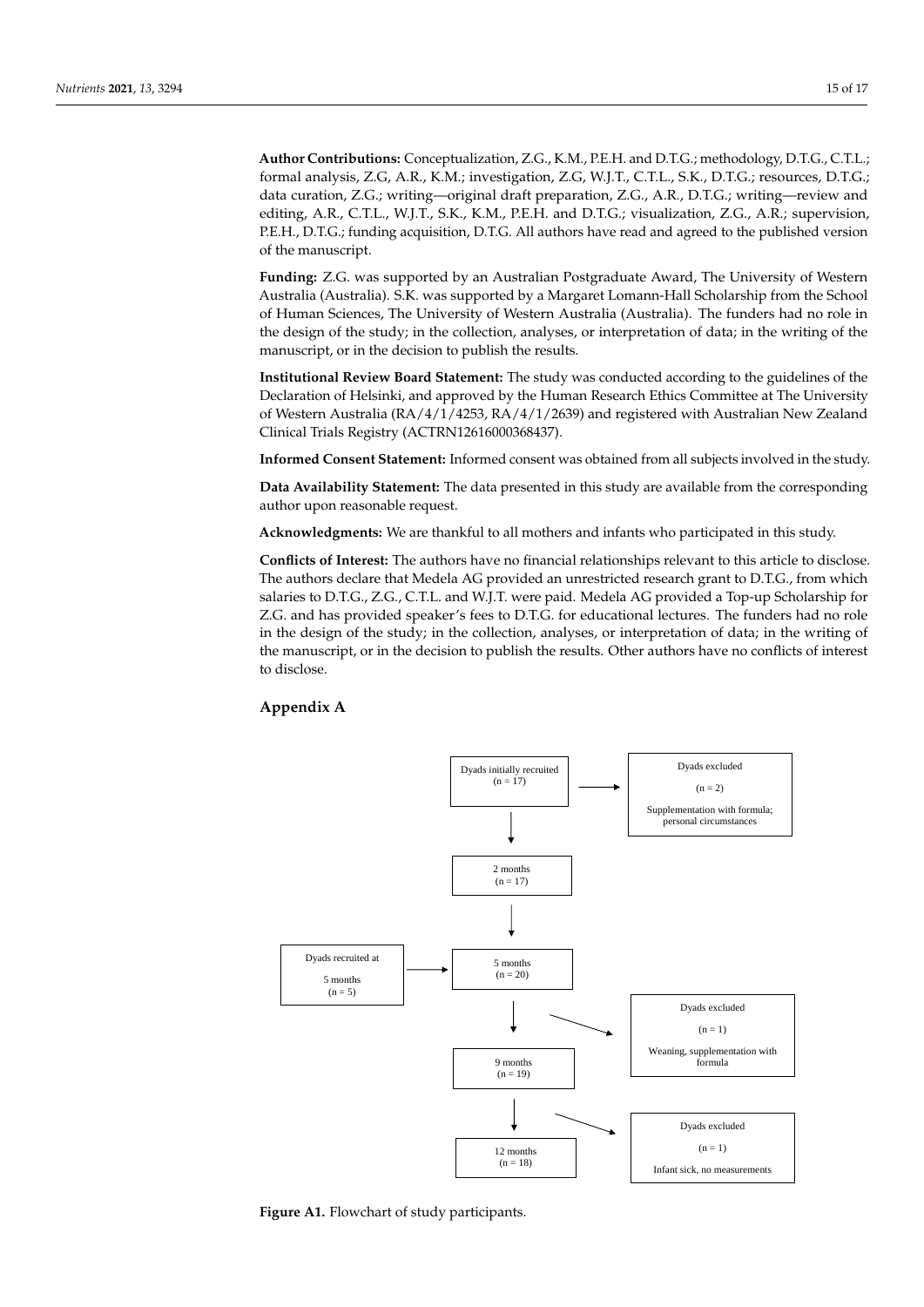**Author Contributions:** Conceptualization, Z.G., K.M., P.E.H. and D.T.G.; methodology, D.T.G., C.T.L.; formal analysis, Z.G, A.R., K.M.; investigation, Z.G, W.J.T., C.T.L., S.K., D.T.G.; resources, D.T.G.; data curation, Z.G.; writing—original draft preparation, Z.G., A.R., D.T.G.; writing—review and editing, A.R., C.T.L., W.J.T., S.K., K.M., P.E.H. and D.T.G.; visualization, Z.G., A.R.; supervision, P.E.H., D.T.G.; funding acquisition, D.T.G. All authors have read and agreed to the published version of the manuscript.

**Funding:** Z.G. was supported by an Australian Postgraduate Award, The University of Western Australia (Australia). S.K. was supported by a Margaret Lomann-Hall Scholarship from the School of Human Sciences, The University of Western Australia (Australia). The funders had no role in the design of the study; in the collection, analyses, or interpretation of data; in the writing of the manuscript, or in the decision to publish the results.

**Institutional Review Board Statement:** The study was conducted according to the guidelines of the Declaration of Helsinki, and approved by the Human Research Ethics Committee at The University of Western Australia (RA/4/1/4253, RA/4/1/2639) and registered with Australian New Zealand Clinical Trials Registry (ACTRN12616000368437).

**Informed Consent Statement:** Informed consent was obtained from all subjects involved in the study.

**Data Availability Statement:** The data presented in this study are available from the corresponding author upon reasonable request.

**Acknowledgments:** We are thankful to all mothers and infants who participated in this study.

**Conflicts of Interest:** The authors have no financial relationships relevant to this article to disclose. The authors declare that Medela AG provided an unrestricted research grant to D.T.G., from which salaries to D.T.G., Z.G., C.T.L. and W.J.T. were paid. Medela AG provided a Top-up Scholarship for Z.G. and has provided speaker's fees to D.T.G. for educational lectures. The funders had no role in the design of the study; in the collection, analyses, or interpretation of data; in the writing of the manuscript, or in the decision to publish the results. Other authors have no conflicts of interest to disclose.

# **Appendix A**

<span id="page-14-0"></span>

**Figure A1.** Flowchart of study participants.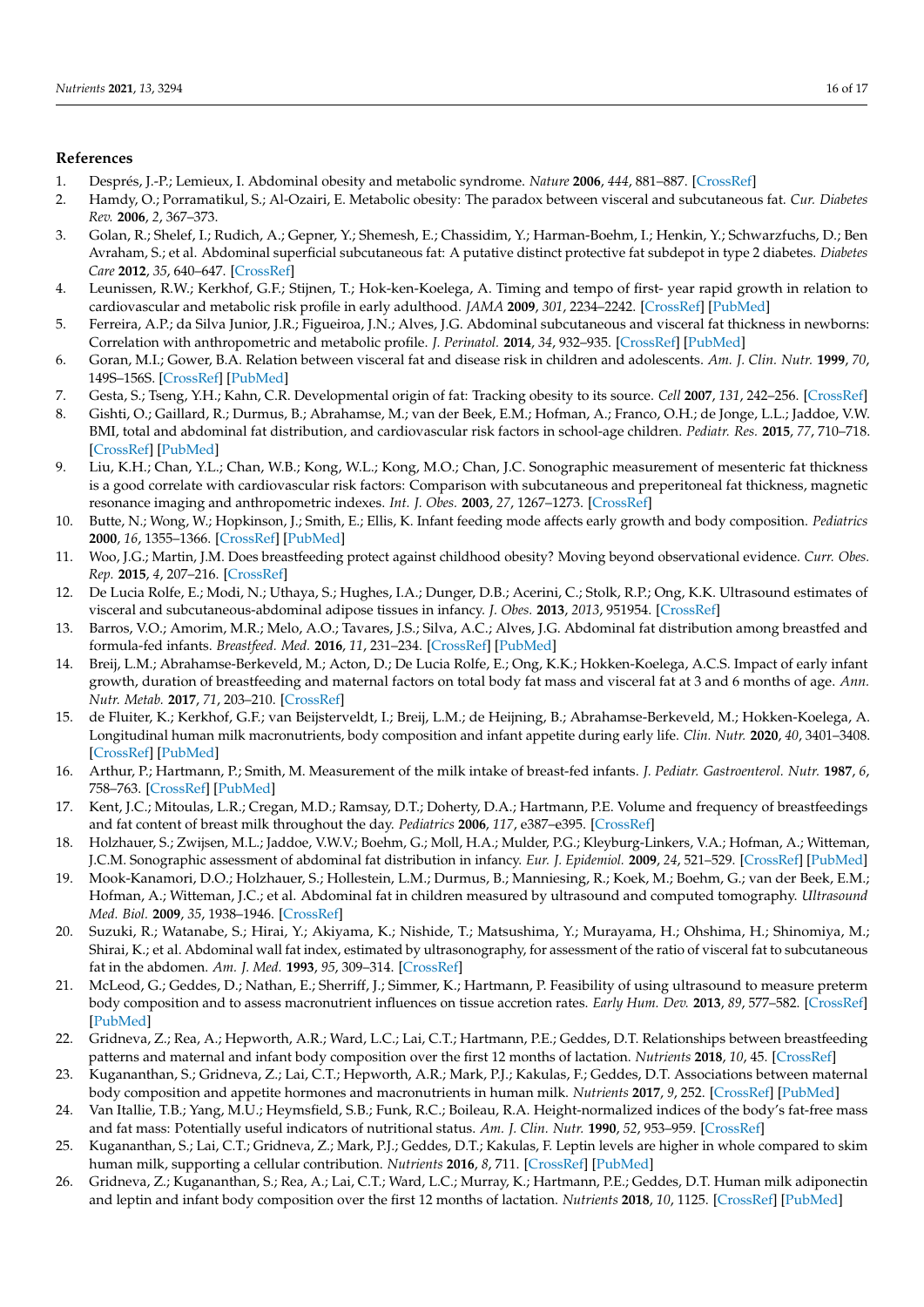# **References**

- <span id="page-15-0"></span>1. Després, J.-P.; Lemieux, I. Abdominal obesity and metabolic syndrome. *Nature* **2006**, *444*, 881–887. [\[CrossRef\]](http://doi.org/10.1038/nature05488)
- <span id="page-15-1"></span>2. Hamdy, O.; Porramatikul, S.; Al-Ozairi, E. Metabolic obesity: The paradox between visceral and subcutaneous fat. *Cur. Diabetes Rev.* **2006**, *2*, 367–373.
- <span id="page-15-2"></span>3. Golan, R.; Shelef, I.; Rudich, A.; Gepner, Y.; Shemesh, E.; Chassidim, Y.; Harman-Boehm, I.; Henkin, Y.; Schwarzfuchs, D.; Ben Avraham, S.; et al. Abdominal superficial subcutaneous fat: A putative distinct protective fat subdepot in type 2 diabetes. *Diabetes Care* **2012**, *35*, 640–647. [\[CrossRef\]](http://doi.org/10.2337/dc11-1583)
- <span id="page-15-3"></span>4. Leunissen, R.W.; Kerkhof, G.F.; Stijnen, T.; Hok-ken-Koelega, A. Timing and tempo of first- year rapid growth in relation to cardiovascular and metabolic risk profile in early adulthood. *JAMA* **2009**, *301*, 2234–2242. [\[CrossRef\]](http://doi.org/10.1001/jama.2009.761) [\[PubMed\]](http://www.ncbi.nlm.nih.gov/pubmed/19491185)
- <span id="page-15-4"></span>5. Ferreira, A.P.; da Silva Junior, J.R.; Figueiroa, J.N.; Alves, J.G. Abdominal subcutaneous and visceral fat thickness in newborns: Correlation with anthropometric and metabolic profile. *J. Perinatol.* **2014**, *34*, 932–935. [\[CrossRef\]](http://doi.org/10.1038/jp.2014.110) [\[PubMed\]](http://www.ncbi.nlm.nih.gov/pubmed/24901453)
- <span id="page-15-5"></span>6. Goran, M.I.; Gower, B.A. Relation between visceral fat and disease risk in children and adolescents. *Am. J. Clin. Nutr.* **1999**, *70*, 149S–156S. [\[CrossRef\]](http://doi.org/10.1093/ajcn/70.1.149s) [\[PubMed\]](http://www.ncbi.nlm.nih.gov/pubmed/10419419)
- <span id="page-15-6"></span>7. Gesta, S.; Tseng, Y.H.; Kahn, C.R. Developmental origin of fat: Tracking obesity to its source. *Cell* **2007**, *131*, 242–256. [\[CrossRef\]](http://doi.org/10.1016/j.cell.2007.10.004)
- 8. Gishti, O.; Gaillard, R.; Durmus, B.; Abrahamse, M.; van der Beek, E.M.; Hofman, A.; Franco, O.H.; de Jonge, L.L.; Jaddoe, V.W. BMI, total and abdominal fat distribution, and cardiovascular risk factors in school-age children. *Pediatr. Res.* **2015**, *77*, 710–718. [\[CrossRef\]](http://doi.org/10.1038/pr.2015.29) [\[PubMed\]](http://www.ncbi.nlm.nih.gov/pubmed/25665058)
- <span id="page-15-7"></span>9. Liu, K.H.; Chan, Y.L.; Chan, W.B.; Kong, W.L.; Kong, M.O.; Chan, J.C. Sonographic measurement of mesenteric fat thickness is a good correlate with cardiovascular risk factors: Comparison with subcutaneous and preperitoneal fat thickness, magnetic resonance imaging and anthropometric indexes. *Int. J. Obes.* **2003**, *27*, 1267–1273. [\[CrossRef\]](http://doi.org/10.1038/sj.ijo.0802398)
- <span id="page-15-8"></span>10. Butte, N.; Wong, W.; Hopkinson, J.; Smith, E.; Ellis, K. Infant feeding mode affects early growth and body composition. *Pediatrics* **2000**, *16*, 1355–1366. [\[CrossRef\]](http://doi.org/10.1542/peds.106.6.1355) [\[PubMed\]](http://www.ncbi.nlm.nih.gov/pubmed/11099589)
- <span id="page-15-9"></span>11. Woo, J.G.; Martin, J.M. Does breastfeeding protect against childhood obesity? Moving beyond observational evidence. *Curr. Obes. Rep.* **2015**, *4*, 207–216. [\[CrossRef\]](http://doi.org/10.1007/s13679-015-0148-9)
- <span id="page-15-10"></span>12. De Lucia Rolfe, E.; Modi, N.; Uthaya, S.; Hughes, I.A.; Dunger, D.B.; Acerini, C.; Stolk, R.P.; Ong, K.K. Ultrasound estimates of visceral and subcutaneous-abdominal adipose tissues in infancy. *J. Obes.* **2013**, *2013*, 951954. [\[CrossRef\]](http://doi.org/10.1155/2013/951954)
- <span id="page-15-11"></span>13. Barros, V.O.; Amorim, M.R.; Melo, A.O.; Tavares, J.S.; Silva, A.C.; Alves, J.G. Abdominal fat distribution among breastfed and formula-fed infants. *Breastfeed. Med.* **2016**, *11*, 231–234. [\[CrossRef\]](http://doi.org/10.1089/bfm.2016.0033) [\[PubMed\]](http://www.ncbi.nlm.nih.gov/pubmed/27104359)
- <span id="page-15-12"></span>14. Breij, L.M.; Abrahamse-Berkeveld, M.; Acton, D.; De Lucia Rolfe, E.; Ong, K.K.; Hokken-Koelega, A.C.S. Impact of early infant growth, duration of breastfeeding and maternal factors on total body fat mass and visceral fat at 3 and 6 months of age. *Ann. Nutr. Metab.* **2017**, *71*, 203–210. [\[CrossRef\]](http://doi.org/10.1159/000481539)
- <span id="page-15-13"></span>15. de Fluiter, K.; Kerkhof, G.F.; van Beijsterveldt, I.; Breij, L.M.; de Heijning, B.; Abrahamse-Berkeveld, M.; Hokken-Koelega, A. Longitudinal human milk macronutrients, body composition and infant appetite during early life. *Clin. Nutr.* **2020**, *40*, 3401–3408. [\[CrossRef\]](http://doi.org/10.1016/j.clnu.2020.11.024) [\[PubMed\]](http://www.ncbi.nlm.nih.gov/pubmed/33309161)
- <span id="page-15-14"></span>16. Arthur, P.; Hartmann, P.; Smith, M. Measurement of the milk intake of breast-fed infants. *J. Pediatr. Gastroenterol. Nutr.* **1987**, *6*, 758–763. [\[CrossRef\]](http://doi.org/10.1097/00005176-198709000-00017) [\[PubMed\]](http://www.ncbi.nlm.nih.gov/pubmed/3694369)
- <span id="page-15-15"></span>17. Kent, J.C.; Mitoulas, L.R.; Cregan, M.D.; Ramsay, D.T.; Doherty, D.A.; Hartmann, P.E. Volume and frequency of breastfeedings and fat content of breast milk throughout the day. *Pediatrics* **2006**, *117*, e387–e395. [\[CrossRef\]](http://doi.org/10.1542/peds.2005-1417)
- <span id="page-15-16"></span>18. Holzhauer, S.; Zwijsen, M.L.; Jaddoe, V.W.V.; Boehm, G.; Moll, H.A.; Mulder, P.G.; Kleyburg-Linkers, V.A.; Hofman, A.; Witteman, J.C.M. Sonographic assessment of abdominal fat distribution in infancy. *Eur. J. Epidemiol.* **2009**, *24*, 521–529. [\[CrossRef\]](http://doi.org/10.1007/s10654-009-9368-1) [\[PubMed\]](http://www.ncbi.nlm.nih.gov/pubmed/19639387)
- <span id="page-15-17"></span>19. Mook-Kanamori, D.O.; Holzhauer, S.; Hollestein, L.M.; Durmus, B.; Manniesing, R.; Koek, M.; Boehm, G.; van der Beek, E.M.; Hofman, A.; Witteman, J.C.; et al. Abdominal fat in children measured by ultrasound and computed tomography. *Ultrasound Med. Biol.* **2009**, *35*, 1938–1946. [\[CrossRef\]](http://doi.org/10.1016/j.ultrasmedbio.2009.07.002)
- <span id="page-15-18"></span>20. Suzuki, R.; Watanabe, S.; Hirai, Y.; Akiyama, K.; Nishide, T.; Matsushima, Y.; Murayama, H.; Ohshima, H.; Shinomiya, M.; Shirai, K.; et al. Abdominal wall fat index, estimated by ultrasonography, for assessment of the ratio of visceral fat to subcutaneous fat in the abdomen. *Am. J. Med.* **1993**, *95*, 309–314. [\[CrossRef\]](http://doi.org/10.1016/0002-9343(93)90284-V)
- <span id="page-15-19"></span>21. McLeod, G.; Geddes, D.; Nathan, E.; Sherriff, J.; Simmer, K.; Hartmann, P. Feasibility of using ultrasound to measure preterm body composition and to assess macronutrient influences on tissue accretion rates. *Early Hum. Dev.* **2013**, *89*, 577–582. [\[CrossRef\]](http://doi.org/10.1016/j.earlhumdev.2013.02.007) [\[PubMed\]](http://www.ncbi.nlm.nih.gov/pubmed/23535172)
- <span id="page-15-20"></span>22. Gridneva, Z.; Rea, A.; Hepworth, A.R.; Ward, L.C.; Lai, C.T.; Hartmann, P.E.; Geddes, D.T. Relationships between breastfeeding patterns and maternal and infant body composition over the first 12 months of lactation. *Nutrients* **2018**, *10*, 45. [\[CrossRef\]](http://doi.org/10.3390/nu10010045)
- <span id="page-15-21"></span>23. Kugananthan, S.; Gridneva, Z.; Lai, C.T.; Hepworth, A.R.; Mark, P.J.; Kakulas, F.; Geddes, D.T. Associations between maternal body composition and appetite hormones and macronutrients in human milk. *Nutrients* **2017**, *9*, 252. [\[CrossRef\]](http://doi.org/10.3390/nu9030252) [\[PubMed\]](http://www.ncbi.nlm.nih.gov/pubmed/28282925)
- <span id="page-15-22"></span>24. Van Itallie, T.B.; Yang, M.U.; Heymsfield, S.B.; Funk, R.C.; Boileau, R.A. Height-normalized indices of the body's fat-free mass and fat mass: Potentially useful indicators of nutritional status. *Am. J. Clin. Nutr.* **1990**, *52*, 953–959. [\[CrossRef\]](http://doi.org/10.1093/ajcn/52.6.953)
- <span id="page-15-23"></span>25. Kugananthan, S.; Lai, C.T.; Gridneva, Z.; Mark, P.J.; Geddes, D.T.; Kakulas, F. Leptin levels are higher in whole compared to skim human milk, supporting a cellular contribution. *Nutrients* **2016**, *8*, 711. [\[CrossRef\]](http://doi.org/10.3390/nu8110711) [\[PubMed\]](http://www.ncbi.nlm.nih.gov/pubmed/27834797)
- <span id="page-15-24"></span>26. Gridneva, Z.; Kugananthan, S.; Rea, A.; Lai, C.T.; Ward, L.C.; Murray, K.; Hartmann, P.E.; Geddes, D.T. Human milk adiponectin and leptin and infant body composition over the first 12 months of lactation. *Nutrients* **2018**, *10*, 1125. [\[CrossRef\]](http://doi.org/10.3390/nu10081125) [\[PubMed\]](http://www.ncbi.nlm.nih.gov/pubmed/30127292)